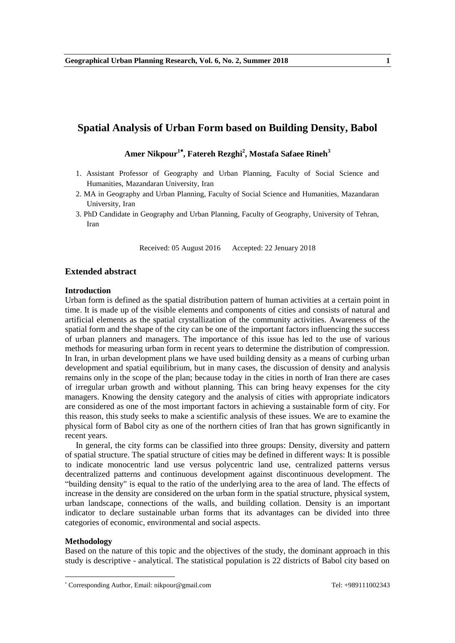# **Spatial Analysis of Urban Form based on Building Density, Babol**

**Amer Nikpour<sup>1</sup> , Fatereh Rezghi<sup>2</sup> , Mostafa Safaee Rineh<sup>3</sup>**

- 1. Assistant Professor of Geography and Urban Planning, Faculty of Social Science and Humanities, Mazandaran University, Iran
- 2. MA in Geography and Urban Planning, Faculty of Social Science and Humanities, Mazandaran University, Iran
- 3. PhD Candidate in Geography and Urban Planning, Faculty of Geography, University of Tehran, Iran

Received: 05 August 2016 Accepted: 22 Jenuary 2018

### **Extended abstract**

#### **Introduction**

Urban form is defined as the spatial distribution pattern of human activities at a certain point in time. It is made up of the visible elements and components of cities and consists of natural and artificial elements as the spatial crystallization of the community activities. Awareness of the spatial form and the shape of the city can be one of the important factors influencing the success of urban planners and managers. The importance of this issue has led to the use of various methods for measuring urban form in recent years to determine the distribution of compression. In Iran, in urban development plans we have used building density as a means of curbing urban development and spatial equilibrium, but in many cases, the discussion of density and analysis remains only in the scope of the plan; because today in the cities in north of Iran there are cases of irregular urban growth and without planning. This can bring heavy expenses for the city managers. Knowing the density category and the analysis of cities with appropriate indicators are considered as one of the most important factors in achieving a sustainable form of city. For this reason, this study seeks to make a scientific analysis of these issues. We are to examine the physical form of Babol city as one of the northern cities of Iran that has grown significantly in recent years.

In general, the city forms can be classified into three groups: Density, diversity and pattern of spatial structure. The spatial structure of cities may be defined in different ways: It is possible to indicate monocentric land use versus polycentric land use, centralized patterns versus decentralized patterns and continuous development against discontinuous development. The ―building density" is equal to the ratio of the underlying area to the area of land. The effects of increase in the density are considered on the urban form in the spatial structure, physical system, urban landscape, connections of the walls, and building collation. Density is an important indicator to declare sustainable urban forms that its advantages can be divided into three categories of economic, environmental and social aspects.

### **Methodology**

**.** 

Based on the nature of this topic and the objectives of the study, the dominant approach in this study is descriptive - analytical. The statistical population is 22 districts of Babol city based on

Corresponding Author, Email: nikpour@gmail.com Tel: +989111002343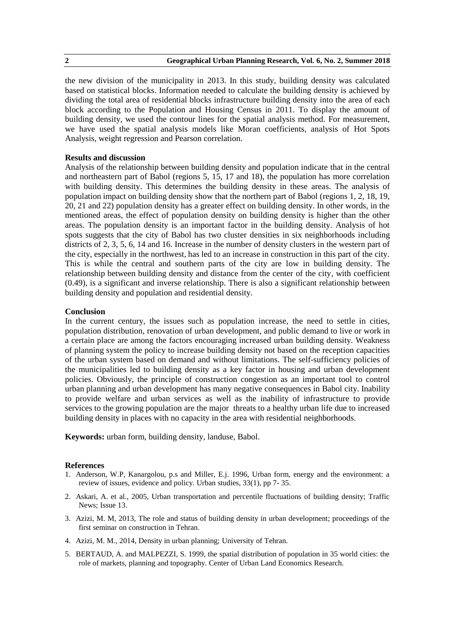the new division of the municipality in 2013. In this study, building density was calculated based on statistical blocks. Information needed to calculate the building density is achieved by dividing the total area of residential blocks infrastructure building density into the area of each block according to the Population and Housing Census in 2011. To display the amount of building density, we used the contour lines for the spatial analysis method. For measurement, we have used the spatial analysis models like Moran coefficients, analysis of Hot Spots Analysis, weight regression and Pearson correlation.

# **Results and discussion**

Analysis of the relationship between building density and population indicate that in the central and northeastern part of Babol (regions 5, 15, 17 and 18), the population has more correlation with building density. This determines the building density in these areas. The analysis of population impact on building density show that the northern part of Babol (regions 1, 2, 18, 19, 20, 21 and 22) population density has a greater effect on building density. In other words, in the mentioned areas, the effect of population density on building density is higher than the other areas. The population density is an important factor in the building density. Analysis of hot spots suggests that the city of Babol has two cluster densities in six neighborhoods including districts of 2, 3, 5, 6, 14 and 16. Increase in the number of density clusters in the western part of the city, especially in the northwest, has led to an increase in construction in this part of the city. This is while the central and southern parts of the city are low in building density. The relationship between building density and distance from the center of the city, with coefficient (0.49), is a significant and inverse relationship. There is also a significant relationship between building density and population and residential density.

# **Conclusion**

In the current century, the issues such as population increase, the need to settle in cities, population distribution, renovation of urban development, and public demand to live or work in a certain place are among the factors encouraging increased urban building density. Weakness of planning system the policy to increase building density not based on the reception capacities of the urban system based on demand and without limitations. The self-sufficiency policies of the municipalities led to building density as a key factor in housing and urban development policies. Obviously, the principle of construction congestion as an important tool to control urban planning and urban development has many negative consequences in Babol city. Inability to provide welfare and urban services as well as the inability of infrastructure to provide services to the growing population are the major threats to a healthy urban life due to increased building density in places with no capacity in the area with residential neighborhoods.

**Keywords:** urban form, building density, landuse, Babol.

- 1. Anderson, W.P, Kanargolou, p.s and Miller, E.j. 1996, Urban form, energy and the environment: a review of issues, evidence and policy. Urban studies, 33(1), pp 7- 35.
- 2. Askari, A. et al., 2005, Urban transportation and percentile fluctuations of building density; Traffic News; Issue 13.
- 3. Azizi, M. M, 2013, The role and status of building density in urban development; proceedings of the first seminar on construction in Tehran.
- 4. Azizi, M. M., 2014, Density in urban planning; University of Tehran.
- 5. BERTAUD, A. and MALPEZZI, S. 1999, the spatial distribution of population in 35 world cities: the role of markets, planning and topography. Center of Urban Land Economics Research.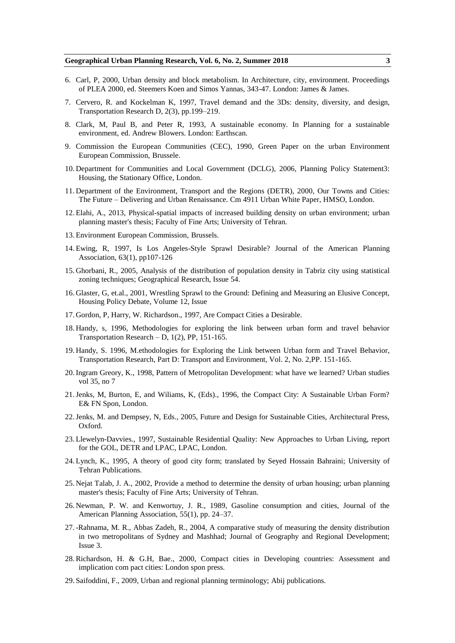- 6. Carl, P, 2000, Urban density and block metabolism. In Architecture, city, environment. Proceedings of PLEA 2000, ed. Steemers Koen and Simos Yannas, 343-47. London: James & James.
- 7. Cervero, R. and Kockelman K, 1997, Travel demand and the 3Ds: density, diversity, and design, Transportation Research D, 2(3), pp.199–219.
- 8. Clark, M, Paul B, and Peter R, 1993, A sustainable economy. In Planning for a sustainable environment, ed. Andrew Blowers. London: Earthscan.
- 9. Commission the European Communities (CEC), 1990, Green Paper on the urban Environment European Commission, Brussele.
- 10. Department for Communities and Local Government (DCLG), 2006, Planning Policy Statement3: Housing, the Stationary Office, London.
- 11. Department of the Environment, Transport and the Regions (DETR), 2000, Our Towns and Cities: The Future – Delivering and Urban Renaissance. Cm 4911 Urban White Paper, HMSO, London.
- 12. Elahi, A., 2013, Physical-spatial impacts of increased building density on urban environment; urban planning master's thesis; Faculty of Fine Arts; University of Tehran.
- 13. Environment European Commission, Brussels.
- 14. Ewing, R, 1997, Is Los Angeles-Style Sprawl Desirable? Journal of the American Planning Association, 63(1), pp107-126
- 15. Ghorbani, R., 2005, Analysis of the distribution of population density in Tabriz city using statistical zoning techniques; Geographical Research, Issue 54.
- 16. Glaster, G, et.al., 2001, Wrestling Sprawl to the Ground: Defining and Measuring an Elusive Concept, Housing Policy Debate, Volume 12, Issue
- 17. Gordon, P, Harry, W. Richardson., 1997, Are Compact Cities a Desirable.
- 18. Handy, s, 1996, Methodologies for exploring the link between urban form and travel behavior Transportation Research – D,  $1(2)$ , PP,  $151-165$ .
- 19. Handy, S. 1996, M.ethodologies for Exploring the Link between Urban form and Travel Behavior, Transportation Research, Part D: Transport and Environment, Vol. 2, No. 2,PP. 151-165.
- 20.Ingram Greory, K., 1998, Pattern of Metropolitan Development: what have we learned? Urban studies vol 35, no 7
- 21.Jenks, M, Burton, E, and Wiliams, K, (Eds)., 1996, the Compact City: A Sustainable Urban Form? E& FN Spon, London.
- 22.Jenks, M. and Dempsey, N, Eds., 2005, Future and Design for Sustainable Cities, Architectural Press, Oxford.
- 23. Llewelyn-Davvies., 1997, Sustainable Residential Quality: New Approaches to Urban Living, report for the GOL, DETR and LPAC, LPAC, London.
- 24. Lynch, K., 1995, A theory of good city form; translated by Seyed Hossain Bahraini; University of Tehran Publications.
- 25. Nejat Talab, J. A., 2002, Provide a method to determine the density of urban housing; urban planning master's thesis; Faculty of Fine Arts; University of Tehran.
- 26. Newman, P. W. and Kenwortuy, J. R., 1989, Gasoline consumption and cities, Journal of the American Planning Association, 55(1), pp. 24–37.
- 27.-Rahnama, M. R., Abbas Zadeh, R., 2004, A comparative study of measuring the density distribution in two metropolitans of Sydney and Mashhad; Journal of Geography and Regional Development; Issue 3.
- 28.Richardson, H. & G.H, Bae., 2000, Compact cities in Developing countries: Assessment and implication com pact cities: London spon press.
- 29. Saifoddini, F., 2009, Urban and regional planning terminology; Abij publications.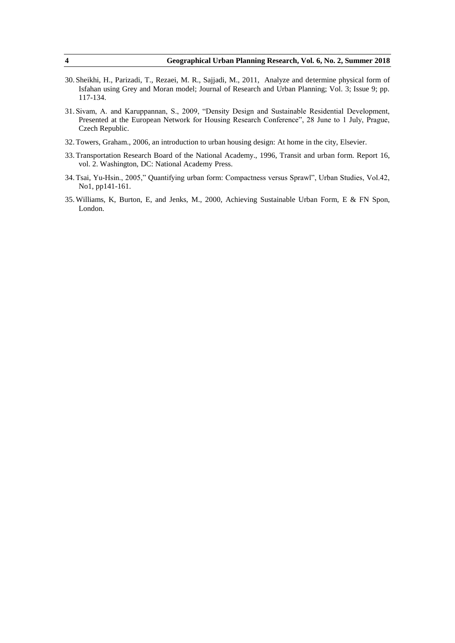- 30. Sheikhi, H., Parizadi, T., Rezaei, M. R., Sajjadi, M., 2011, Analyze and determine physical form of Isfahan using Grey and Moran model; Journal of Research and Urban Planning; Vol. 3; Issue 9; pp. 117-134.
- 31. Sivam, A. and Karuppannan, S., 2009, "Density Design and Sustainable Residential Development, Presented at the European Network for Housing Research Conference", 28 June to 1 July, Prague, Czech Republic.
- 32. Towers, Graham., 2006, an introduction to urban housing design: At home in the city, Elsevier.
- 33. Transportation Research Board of the National Academy., 1996, Transit and urban form. Report 16, vol. 2. Washington, DC: National Academy Press.
- 34. Tsai, Yu-Hsin., 2005," Quantifying urban form: Compactness versus Sprawl", Urban Studies, Vol.42, No1, pp141-161.
- 35. Williams, K, Burton, E, and Jenks, M., 2000, Achieving Sustainable Urban Form, E & FN Spon, London.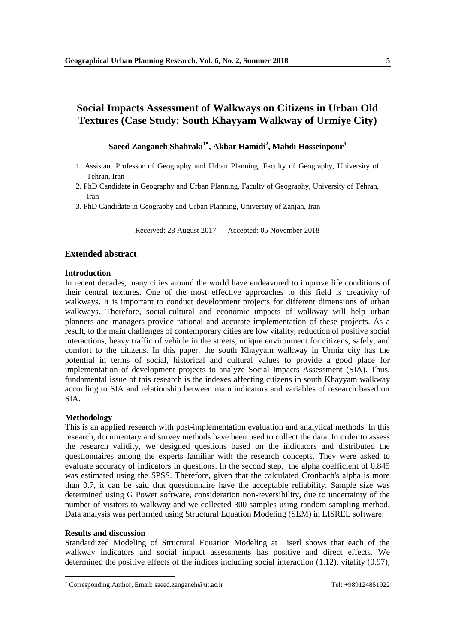# **Social Impacts Assessment of Walkways on Citizens in Urban Old Textures (Case Study: South Khayyam Walkway of Urmiye City)**

# **Saeed Zanganeh Shahraki<sup>1</sup> , Akbar Hamidi<sup>2</sup> , Mahdi Hosseinpour<sup>3</sup>**

- 1. Assistant Professor of Geography and Urban Planning, Faculty of Geography, University of Tehran, Iran
- 2. PhD Candidate in Geography and Urban Planning, Faculty of Geography, University of Tehran, Iran
- 3. PhD Candidate in Geography and Urban Planning, University of Zanjan, Iran

Received: 28 August 2017 Accepted: 05 November 2018

# **Extended abstract**

# **Introduction**

In recent decades, many cities around the world have endeavored to improve life conditions of their central textures. One of the most effective approaches to this field is creativity of walkways. It is important to conduct development projects for different dimensions of urban walkways. Therefore, social-cultural and economic impacts of walkway will help urban planners and managers provide rational and accurate implementation of these projects. As a result, to the main challenges of contemporary cities are low vitality, reduction of positive social interactions, heavy traffic of vehicle in the streets, unique environment for citizens, safely, and comfort to the citizens. In this paper, the south Khayyam walkway in Urmia city has the potential in terms of social, historical and cultural values to provide a good place for implementation of development projects to analyze Social Impacts Assessment (SIA). Thus, fundamental issue of this research is the indexes affecting citizens in south Khayyam walkway according to SIA and relationship between main indicators and variables of research based on SIA.

# **Methodology**

This is an applied research with post-implementation evaluation and analytical methods. In this research, documentary and survey methods have been used to collect the data. In order to assess the research validity, we designed questions based on the indicators and distributed the questionnaires among the experts familiar with the research concepts. They were asked to evaluate accuracy of indicators in questions. In the second step, the alpha coefficient of 0.845 was estimated using the SPSS. Therefore, given that the calculated Cronbach's alpha is more than 0.7, it can be said that questionnaire have the acceptable reliability. Sample size was determined using G Power software, consideration non-reversibility, due to uncertainty of the number of visitors to walkway and we collected 300 samples using random sampling method. Data analysis was performed using Structural Equation Modeling (SEM) in LISREL software.

# **Results and discussion**

**.** 

Standardized Modeling of Structural Equation Modeling at Liserl shows that each of the walkway indicators and social impact assessments has positive and direct effects. We determined the positive effects of the indices including social interaction (1.12), vitality (0.97),

Corresponding Author, Email: saeed.zanganeh@ut.ac.ir Tel: +989124851922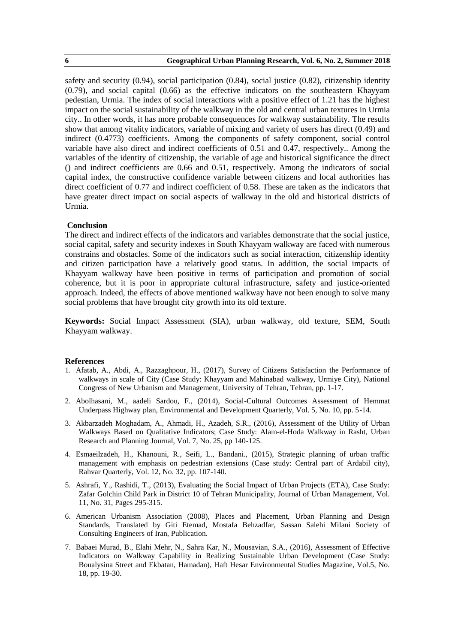safety and security (0.94), social participation (0.84), social justice (0.82), citizenship identity (0.79), and social capital (0.66) as the effective indicators on the southeastern Khayyam pedestian, Urmia. The index of social interactions with a positive effect of 1.21 has the highest impact on the social sustainability of the walkway in the old and central urban textures in Urmia city.. In other words, it has more probable consequences for walkway sustainability. The results show that among vitality indicators, variable of mixing and variety of users has direct (0.49) and indirect (0.4773) coefficients. Among the components of safety component, social control variable have also direct and indirect coefficients of 0.51 and 0.47, respectively.. Among the variables of the identity of citizenship, the variable of age and historical significance the direct () and indirect coefficients are 0.66 and 0.51, respectively. Among the indicators of social capital index, the constructive confidence variable between citizens and local authorities has direct coefficient of 0.77 and indirect coefficient of 0.58. These are taken as the indicators that have greater direct impact on social aspects of walkway in the old and historical districts of Urmia.

#### **Conclusion**

The direct and indirect effects of the indicators and variables demonstrate that the social justice, social capital, safety and security indexes in South Khayyam walkway are faced with numerous constrains and obstacles. Some of the indicators such as social interaction, citizenship identity and citizen participation have a relatively good status. In addition, the social impacts of Khayyam walkway have been positive in terms of participation and promotion of social coherence, but it is poor in appropriate cultural infrastructure, safety and justice-oriented approach. Indeed, the effects of above mentioned walkway have not been enough to solve many social problems that have brought city growth into its old texture.

**Keywords:** Social Impact Assessment (SIA), urban walkway, old texture, SEM, South Khayyam walkway.

- 1. Afatab, A., Abdi, A., Razzaghpour, H., (2017), Survey of Citizens Satisfaction the Performance of walkways in scale of City (Case Study: Khayyam and Mahinabad walkway, Urmiye City), National Congress of New Urbanism and Management, University of Tehran, Tehran, pp. 1-17.
- 2. Abolhasani, M., aadeli Sardou, F., (2014), Social-Cultural Outcomes Assessment of Hemmat Underpass Highway plan, Environmental and Development Quarterly, Vol. 5, No. 10, pp. 5-14.
- 3. Akbarzadeh Moghadam, A., Ahmadi, H., Azadeh, S.R., (2016), Assessment of the Utility of Urban Walkways Based on Qualitative Indicators; Case Study: Alam-el-Hoda Walkway in Rasht, Urban Research and Planning Journal, Vol. 7, No. 25, pp 140-125.
- 4. Esmaeilzadeh, H., Khanouni, R., Seifi, L., Bandani., (2015), Strategic planning of urban traffic management with emphasis on pedestrian extensions (Case study: Central part of Ardabil city), Rahvar Quarterly, Vol. 12, No. 32, pp. 107-140.
- 5. Ashrafi, Y., Rashidi, T., (2013), Evaluating the Social Impact of Urban Projects (ETA), Case Study: Zafar Golchin Child Park in District 10 of Tehran Municipality, Journal of Urban Management, Vol. 11, No. 31, Pages 295-315.
- 6. American Urbanism Association (2008), Places and Placement, Urban Planning and Design Standards, Translated by Giti Etemad, Mostafa Behzadfar, Sassan Salehi Milani Society of Consulting Engineers of Iran, Publication.
- 7. Babaei Murad, B., Elahi Mehr, N., Sahra Kar, N., Mousavian, S.A., (2016), Assessment of Effective Indicators on Walkway Capability in Realizing Sustainable Urban Development (Case Study: Boualysina Street and Ekbatan, Hamadan), Haft Hesar Environmental Studies Magazine, Vol.5, No. 18, pp. 19-30.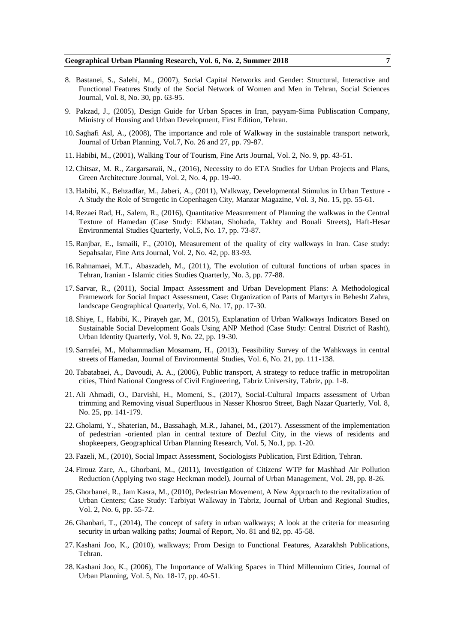- 8. Bastanei, S., Salehi, M., (2007), Social Capital Networks and Gender: Structural, Interactive and Functional Features Study of the Social Network of Women and Men in Tehran, Social Sciences Journal, Vol. 8, No. 30, pp. 63-95.
- 9. Pakzad, J., (2005), Design Guide for Urban Spaces in Iran, payyam-Sima Publiscation Company, Ministry of Housing and Urban Development, First Edition, Tehran.
- 10. Saghafi Asl, A., (2008), The importance and role of Walkway in the sustainable transport network, Journal of Urban Planning, Vol.7, No. 26 and 27, pp. 79-87.
- 11. Habibi, M., (2001), Walking Tour of Tourism, Fine Arts Journal, Vol. 2, No. 9, pp. 43-51.
- 12.Chitsaz, M. R., Zargarsaraii, N., (2016), Necessity to do ETA Studies for Urban Projects and Plans, Green Architecture Journal, Vol. 2, No. 4, pp. 19-40.
- 13. Habibi, K., Behzadfar, M., Jaberi, A., (2011), Walkway, Developmental Stimulus in Urban Texture A Study the Role of Strogetic in Copenhagen City, Manzar Magazine, Vol. 3, No. 15, pp. 55-61.
- 14.Rezaei Rad, H., Salem, R., (2016), Quantitative Measurement of Planning the walkwas in the Central Texture of Hamedan (Case Study: Ekbatan, Shohada, Takhty and Bouali Streets), Haft-Hesar Environmental Studies Quarterly, Vol.5, No. 17, pp. 73-87.
- 15.Ranjbar, E., Ismaili, F., (2010), Measurement of the quality of city walkways in Iran. Case study: Sepahsalar, Fine Arts Journal, Vol. 2, No. 42, pp. 83-93.
- 16.Rahnamaei, M.T., Abaszadeh, M., (2011), The evolution of cultural functions of urban spaces in Tehran, Iranian - Islamic cities Studies Quarterly, No. 3, pp. 77-88.
- 17. Sarvar, R., (2011), Social Impact Assessment and Urban Development Plans: A Methodological Framework for Social Impact Assessment, Case: Organization of Parts of Martyrs in Behesht Zahra, landscape Geographical Quarterly, Vol. 6, No. 17, pp. 17-30.
- 18. Shiye, I., Habibi, K., Pirayeh gar, M., (2015), Explanation of Urban Walkways Indicators Based on Sustainable Social Development Goals Using ANP Method (Case Study: Central District of Rasht), Urban Identity Quarterly, Vol. 9, No. 22, pp. 19-30.
- 19. Sarrafei, M., Mohammadian Mosamam, H., (2013), Feasibility Survey of the Wahkways in central streets of Hamedan, Journal of Environmental Studies, Vol. 6, No. 21, pp. 111-138.
- 20. Tabatabaei, A., Davoudi, A. A., (2006), Public transport, A strategy to reduce traffic in metropolitan cities, Third National Congress of Civil Engineering, Tabriz University, Tabriz, pp. 1-8.
- 21. Ali Ahmadi, O., Darvishi, H., Momeni, S., (2017), Social-Cultural Impacts assessment of Urban trimming and Removing visual Superfluous in Nasser Khosroo Street, Bagh Nazar Quarterly, Vol. 8, No. 25, pp. 141-179.
- 22. Gholami, Y., Shaterian, M., Bassahagh, M.R., Jahanei, M., (2017). Assessment of the implementation of pedestrian -oriented plan in central texture of Dezful City, in the views of residents and shopkeepers, Geographical Urban Planning Research, Vol. 5, No.1, pp. 1-20.
- 23. Fazeli, M., (2010), Social Impact Assessment, Sociologists Publication, First Edition, Tehran.
- 24. Firouz Zare, A., Ghorbani, M., (2011), Investigation of Citizens' WTP for Mashhad Air Pollution Reduction (Applying two stage Heckman model), Journal of Urban Management, Vol. 28, pp. 8-26.
- 25. Ghorbanei, R., Jam Kasra, M., (2010), Pedestrian Movement, A New Approach to the revitalization of Urban Centers; Case Study: Tarbiyat Walkway in Tabriz, Journal of Urban and Regional Studies, Vol. 2, No. 6, pp. 55-72.
- 26. Ghanbari, T., (2014), The concept of safety in urban walkways; A look at the criteria for measuring security in urban walking paths; Journal of Report, No. 81 and 82, pp. 45-58.
- 27. Kashani Joo, K., (2010), walkways; From Design to Functional Features, Azarakhsh Publications, Tehran.
- 28. Kashani Joo, K., (2006), The Importance of Walking Spaces in Third Millennium Cities, Journal of Urban Planning, Vol. 5, No. 18-17, pp. 40-51.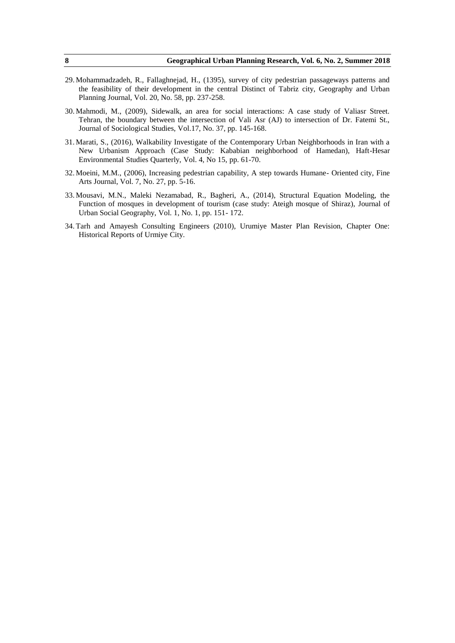- 29. Mohammadzadeh, R., Fallaghnejad, H., (1395), survey of city pedestrian passageways patterns and the feasibility of their development in the central Distinct of Tabriz city, Geography and Urban Planning Journal, Vol. 20, No. 58, pp. 237-258.
- 30. Mahmodi, M., (2009), Sidewalk, an area for social interactions: A case study of Valiasr Street. Tehran, the boundary between the intersection of Vali Asr (AJ) to intersection of Dr. Fatemi St., Journal of Sociological Studies, Vol.17, No. 37, pp. 145-168.
- 31. Marati, S., (2016), Walkability Investigate of the Contemporary Urban Neighborhoods in Iran with a New Urbanism Approach (Case Study: Kababian neighborhood of Hamedan), Haft-Hesar Environmental Studies Quarterly, Vol. 4, No 15, pp. 61-70.
- 32. Moeini, M.M., (2006), Increasing pedestrian capability, A step towards Humane- Oriented city, Fine Arts Journal, Vol. 7, No. 27, pp. 5-16.
- 33. Mousavi, M.N., Maleki Nezamabad, R., Bagheri, A., (2014), Structural Equation Modeling, the Function of mosques in development of tourism (case study: Ateigh mosque of Shiraz), Journal of Urban Social Geography, Vol. 1, No. 1, pp. 151- 172.
- 34. Tarh and Amayesh Consulting Engineers (2010), Urumiye Master Plan Revision, Chapter One: Historical Reports of Urmiye City.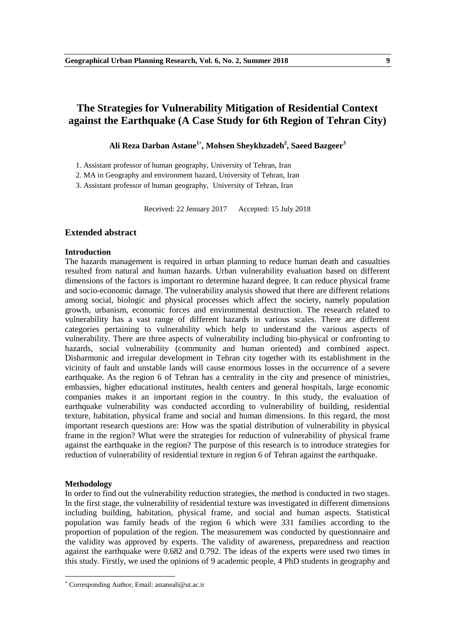# **The Strategies for Vulnerability Mitigation of Residential Context against the Earthquake (A Case Study for 6th Region of Tehran City)**

**Ali Reza Darban Astane<sup>1</sup> , Mohsen Sheykhzadeh<sup>2</sup> , Saeed Bazgeer<sup>3</sup>**

1. Assistant professor of human geography, University of Tehran, Iran

2. MA in Geography and environment hazard, University of Tehran, Iran

3. Assistant professor of human geography, University of Tehran, Iran

Received: 22 Jenuary 2017 Accepted: 15 July 2018

# **Extended abstract**

#### **Introduction**

The hazards management is required in urban planning to reduce human death and casualties resulted from natural and human hazards. Urban vulnerability evaluation based on different dimensions of the factors is important ro determine hazard degree. It can reduce physical frame and socio-economic damage. The vulnerability analysis showed that there are different relations among social, biologic and physical processes which affect the society, namely population growth, urbanism, economic forces and environmental destruction. The research related to vulnerability has a vast range of different hazards in various scales. There are different categories pertaining to vulnerability which help to understand the various aspects of vulnerability. There are three aspects of vulnerability including bio-physical or confronting to hazards, social vulnerability (community and human oriented) and combined aspect. Disharmonic and irregular development in Tehran city together with its establishment in the vicinity of fault and unstable lands will cause enormous losses in the occurrence of a severe earthquake. As the region 6 of Tehran has a centrality in the city and presence of ministries, embassies, higher educational institutes, health centers and general hospitals, large economic companies makes it an important region in the country. In this study, the evaluation of earthquake vulnerability was conducted according to vulnerability of building, residential texture, habitation, physical frame and social and human dimensions. In this regard, the most important research questions are: How was the spatial distribution of vulnerability in physical frame in the region? What were the strategies for reduction of vulnerability of physical frame against the earthquake in the region? The purpose of this research is to introduce strategies for reduction of vulnerability of residential texture in region 6 of Tehran against the earthquake.

#### **Methodology**

**.** 

In order to find out the vulnerability reduction strategies, the method is conducted in two stages. In the first stage, the vulnerability of residential texture was investigated in different dimensions including building, habitation, physical frame, and social and human aspects. Statistical population was family heads of the region 6 which were 331 families according to the proportion of population of the region. The measurement was conducted by questionnaire and the validity was approved by experts. The validity of awareness, preparedness and reaction against the earthquake were 0.682 and 0.792. The ideas of the experts were used two times in this study. Firstly, we used the opinions of 9 academic people, 4 PhD students in geography and

Corresponding Author, Email: astaneali@ut.ac.ir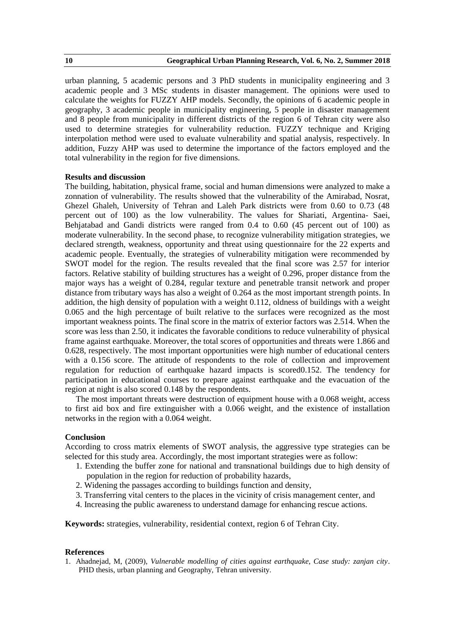urban planning, 5 academic persons and 3 PhD students in municipality engineering and 3 academic people and 3 MSc students in disaster management. The opinions were used to calculate the weights for FUZZY AHP models. Secondly, the opinions of 6 academic people in geography, 3 academic people in municipality engineering, 5 people in disaster management and 8 people from municipality in different districts of the region 6 of Tehran city were also used to determine strategies for vulnerability reduction. FUZZY technique and Kriging interpolation method were used to evaluate vulnerability and spatial analysis, respectively. In addition, Fuzzy AHP was used to determine the importance of the factors employed and the total vulnerability in the region for five dimensions.

### **Results and discussion**

The building, habitation, physical frame, social and human dimensions were analyzed to make a zonnation of vulnerability. The results showed that the vulnerability of the Amirabad, Nosrat, Ghezel Ghaleh, University of Tehran and Laleh Park districts were from 0.60 to 0.73 (48 percent out of 100) as the low vulnerability. The values for Shariati, Argentina- Saei, Behjatabad and Gandi districts were ranged from 0.4 to 0.60 (45 percent out of 100) as moderate vulnerability. In the second phase, to recognize vulnerability mitigation strategies, we declared strength, weakness, opportunity and threat using questionnaire for the 22 experts and academic people. Eventually, the strategies of vulnerability mitigation were recommended by SWOT model for the region. The results revealed that the final score was 2.57 for interior factors. Relative stability of building structures has a weight of 0.296, proper distance from the major ways has a weight of 0.284, regular texture and penetrable transit network and proper distance from tributary ways has also a weight of 0.264 as the most important strength points. In addition, the high density of population with a weight 0.112, oldness of buildings with a weight 0.065 and the high percentage of built relative to the surfaces were recognized as the most important weakness points. The final score in the matrix of exterior factors was 2.514. When the score was less than 2.50, it indicates the favorable conditions to reduce vulnerability of physical frame against earthquake. Moreover, the total scores of opportunities and threats were 1.866 and 0.628, respectively. The most important opportunities were high number of educational centers with a 0.156 score. The attitude of respondents to the role of collection and improvement regulation for reduction of earthquake hazard impacts is scored0.152. The tendency for participation in educational courses to prepare against earthquake and the evacuation of the region at night is also scored 0.148 by the respondents.

The most important threats were destruction of equipment house with a 0.068 weight, access to first aid box and fire extinguisher with a 0.066 weight, and the existence of installation networks in the region with a 0.064 weight.

### **Conclusion**

According to cross matrix elements of SWOT analysis, the aggressive type strategies can be selected for this study area. Accordingly, the most important strategies were as follow:

- 1. Extending the buffer zone for national and transnational buildings due to high density of population in the region for reduction of probability hazards,
- 2. Widening the passages according to buildings function and density,
- 3. Transferring vital centers to the places in the vicinity of crisis management center, and
- 4. Increasing the public awareness to understand damage for enhancing rescue actions.

**Keywords:** strategies, vulnerability, residential context, region 6 of Tehran City.

# **References**

1. Ahadnejad, M, (2009), *Vulnerable modelling of cities against earthquake, Case study: zanjan city*. PHD thesis, urban planning and Geography, Tehran university.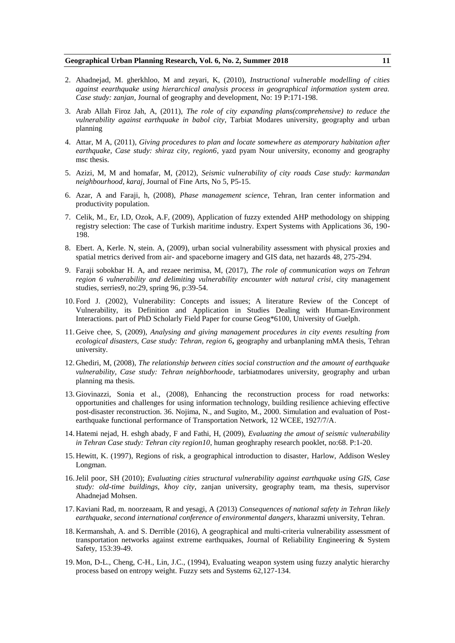- 2. Ahadnejad, M. gherkhloo, M and zeyari, K, (2010), *Instructional vulnerable modelling of cities against eearthquake using hierarchical analysis process in geographical information system area. Case study: zanjan,* Journal of geography and development, No: 19 P:171-198.
- 3. Arab Allah Firoz Jah, A, (2011), *The role of city expanding plans(comprehensive) to reduce the vulnerability against earthquake in babol city*, Tarbiat Modares university, geography and urban planning
- 4. Attar, M A, (2011), *Giving procedures to plan and locate somewhere as atemporary habitation after earthquake, Case study: shiraz city, region6*, yazd pyam Nour university, economy and geography msc thesis.
- 5. Azizi, M, M and homafar, M, (2012), *Seismic vulnerability of city roads Case study: karmandan neighbourhood, karaj*, Journal of Fine Arts, No 5, P5-15.
- 6. Azar, A and Faraji, h, (2008), *Phase management science*, Tehran, Iran center information and productivity population.
- 7. Celik, M., Er, I.D, Ozok, A.F, (2009), Application of fuzzy extended AHP methodology on shipping registry selection: The case of Turkish maritime industry. Expert Systems with Applications 36, 190- 198.
- 8. Ebert. A, Kerle. N, stein. A, (2009), urban social vulnerability assessment with physical proxies and spatial metrics derived from air- and spaceborne imagery and GIS data, net hazards 48, 275-294.
- 9. Faraji sobokbar H. A, and rezaee nerimisa, M, (2017), *The role of communication ways on Tehran region 6 vulnerability and delimiting vulnerability encounter with natural crisi, city management* studies, serries9, no:29, spring 96, p:39-54.
- 10. Ford J. (2002), Vulnerability: Concepts and issues; A literature Review of the Concept of Vulnerability, its Definition and Application in Studies Dealing with Human-Environment Interactions. part of PhD Scholarly Field Paper for course Geog\*6100, University of Guelph.
- 11. Geive chee, S, (2009), *Analysing and giving management procedures in city events resulting from ecological disasters, Case study: Tehran, region 6***,** geography and urbanplaning mMA thesis, Tehran university.
- 12. Ghediri, M, (2008), *The relationship between cities social construction and the amount of earthquake vulnerability, Case study: Tehran neighborhoode*, tarbiatmodares university, geography and urban planning ma thesis.
- 13. Giovinazzi, Sonia et al., (2008), Enhancing the reconstruction process for road networks: opportunities and challenges for using information technology, building resilience achieving effective post-disaster reconstruction. 36. Nojima, N., and Sugito, M., 2000. Simulation and evaluation of Postearthquake functional performance of Transportation Network, 12 WCEE, 1927/7/A.
- 14. Hatemi nejad, H. eshgh abady, F and Fathi, H, (2009), *Evaluating the amout of seismic vulnerability in Tehran Case study: Tehran city region10*, human geoghraphy research pooklet, no:68. P:1-20.
- 15. Hewitt, K. (1997), Regions of risk, a geographical introduction to disaster, Harlow, Addison Wesley Longman.
- 16.Jelil poor, SH (2010); *Evaluating cities structural vulnerability against earthquake using GIS, Case study: old-time buildings, khoy city*, zanjan university, geography team, ma thesis, supervisor Ahadnejad Mohsen.
- 17. Kaviani Rad, m. noorzeaam, R and yesagi, A (2013) *Consequences of national safety in Tehran likely earthquake, second international conference of environmental dangers*, kharazmi university, Tehran.
- 18. Kermanshah, A. and S. Derrible (2016), A geographical and multi-criteria vulnerability assessment of transportation networks against extreme earthquakes. Journal of Reliability Engineering & System Safety, 153:39-49.
- 19. Mon, D-L., Cheng, C-H., Lin, J.C., (1994), Evaluating weapon system using fuzzy analytic hierarchy process based on entropy weight. Fuzzy sets and Systems 62,127-134.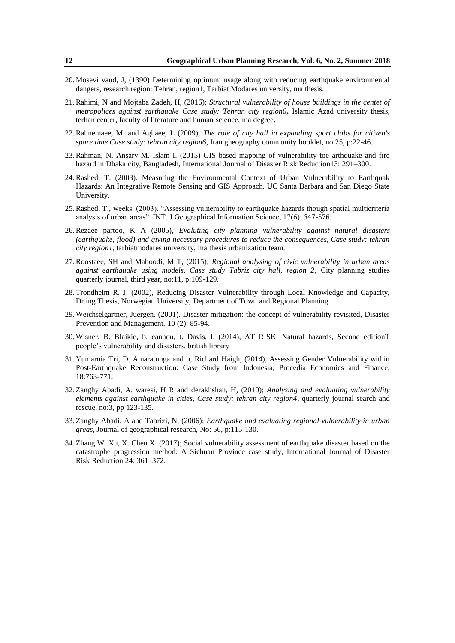- 20. Mosevi vand, J, (1390) Determining optimum usage along with reducing earthquake environmental dangers, research region: Tehran, region1, Tarbiat Modares university, ma thesis.
- 21.Rahimi, N and Mojtaba Zadeh, H, (2016); *Structural vulnerability of house buildings in the centet of metropolices against earthquake Case study: Tehran city region6***,** Islamic Azad university thesis, terhan center, faculty of literature and human science, ma degree.
- 22.Rahnemaee, M. and Aghaee, L (2009), *The role of city hall in expanding sport clubs for citizen's spare time Case study: tehran city region6*, Iran gheography community booklet, no:25, p:22-46.
- 23.Rahman, N. Ansary M. Islam I. (2015) GIS based mapping of vulnerability toe arthquake and fire hazard in Dhaka city, Bangladesh, International Journal of Disaster Risk Reduction13: 291–300.
- 24.Rashed, T. (2003). Measuring the Environmental Context of Urban Vulnerability to Earthquak Hazards: An Integrative Remote Sensing and GIS Approach. UC Santa Barbara and San Diego State University.
- 25. Rashed, T., weeks. (2003). "Assessing vulnerability to earthquake hazards though spatial multicriteria analysis of urban areas". INT. J Geographical Information Science, 17(6): 547-576.
- 26.Rezaee partoo, K A (2005), *Evaluting city planning vulnerability against natural disasters (earthquake, flood) and giving necessary procedures to reduce the consequences, Case study: tehran city region1*, tarbiatmodares university, ma thesis urbanization team.
- 27.Roostaee, SH and Maboodi, M T, (2015); *Regional analysing of civic vulnerability in urban areas against earthquake using models, Case study Tabriz city hall, region 2*, City planning studies quarterly journal, third year, no:11, p:109-129.
- 28. Trondheim R. J, (2002), Reducing Disaster Vulnerability through Local Knowledge and Capacity, Dr.ing Thesis, Norwegian University, Department of Town and Regional Planning.
- 29. Weichselgartner, Juergen. (2001). Disaster mitigation: the concept of vulnerability revisited, Disaster Prevention and Management. 10 (2): 85-94.
- 30. Wisner, B. Blaikie, b. cannon, t. Davis, l. (2014), AT RISK, Natural hazards, Second editionT people's vulnerability and disasters, british library.
- 31. Yumarnia Tri, D. Amaratunga and b, Richard Haigh, (2014), Assessing Gender Vulnerability within Post-Earthquake Reconstruction: Case Study from Indonesia, Procedia Economics and Finance, 18:763-771.
- 32. Zanghy Abadi, A. waresi, H R and derakhshan, H, (2010); *Analysing and evaluating vulnerability elements against earthquake in cities, Case study: tehran city region4*, quarterly journal search and rescue, no:3, pp 123-135.
- 33. Zanghy Abadi, A and Tabrizi, N, (2006); *Earthquake and evaluating regional vulnerability in urban qreas*, Journal of geographical research, No: 56, p:115-130.
- 34. Zhang W. Xu, X. Chen X. (2017); Social vulnerability assessment of earthquake disaster based on the catastrophe progression method: A Sichuan Province case study, International Journal of Disaster Risk Reduction 24: 361–372.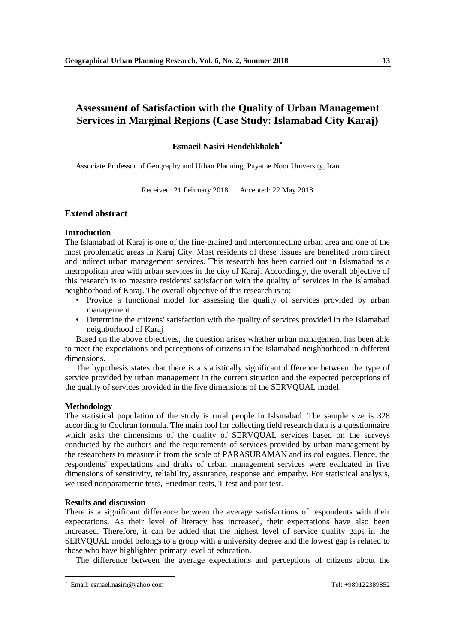# **Assessment of Satisfaction with the Quality of Urban Management Services in Marginal Regions (Case Study: Islamabad City Karaj)**

# **Esmaeil Nasiri Hendehkhaleh**

Associate Professor of Geography and Urban Planning, Payame Noor University, Iran

Received: 21 February 2018 Accepted: 22 May 2018

# **Extend abstract**

# **Introduction**

The Islamabad of Karaj is one of the fine-grained and interconnecting urban area and one of the most problematic areas in Karaj City. Most residents of these tissues are benefited from direct and indirect urban management services. This research has been carried out in Islsmabad as a metropolitan area with urban services in the city of Karaj. Accordingly, the overall objective of this research is to measure residents' satisfaction with the quality of services in the Islamabad neighborhood of Karaj. The overall objective of this research is to:

- Provide a functional model for assessing the quality of services provided by urban management
- Determine the citizens' satisfaction with the quality of services provided in the Islamabad neighborhood of Karaj

Based on the above objectives, the question arises whether urban management has been able to meet the expectations and perceptions of citizens in the Islamabad neighborhood in different dimensions.

The hypothesis states that there is a statistically significant difference between the type of service provided by urban management in the current situation and the expected perceptions of the quality of services provided in the five dimensions of the SERVQUAL model.

# **Methodology**

The statistical population of the study is rural people in Islsmabad. The sample size is 328 according to Cochran formula. The main tool for collecting field research data is a questionnaire which asks the dimensions of the quality of SERVQUAL services based on the surveys conducted by the authors and the requirements of services provided by urban management by the researchers to measure it from the scale of PARASURAMAN and its colleagues. Hence, the respondents' expectations and drafts of urban management services were evaluated in five dimensions of sensitivity, reliability, assurance, response and empathy. For statistical analysis, we used nonparametric tests, Friedman tests, T test and pair test.

# **Results and discussion**

There is a significant difference between the average satisfactions of respondents with their expectations. As their level of literacy has increased, their expectations have also been increased. Therefore, it can be added that the highest level of service quality gaps in the SERVQUAL model belongs to a group with a university degree and the lowest gap is related to those who have highlighted primary level of education.

The difference between the average expectations and perceptions of citizens about the

**.** 

Email: esmael.nasiri@yahoo.com Tel: +989122389852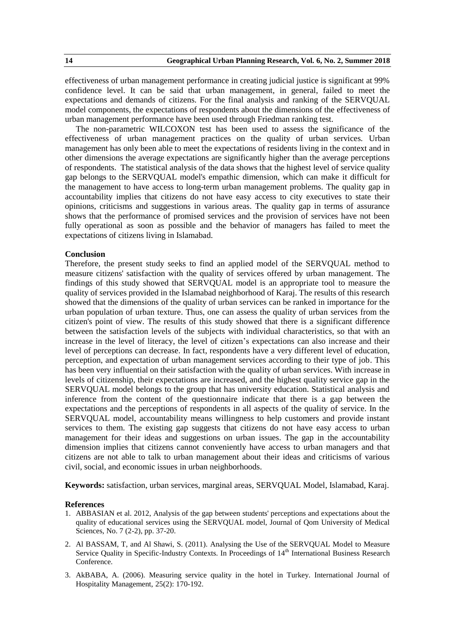effectiveness of urban management performance in creating judicial justice is significant at 99% confidence level. It can be said that urban management, in general, failed to meet the expectations and demands of citizens. For the final analysis and ranking of the SERVQUAL model components, the expectations of respondents about the dimensions of the effectiveness of urban management performance have been used through Friedman ranking test.

The non-parametric WILCOXON test has been used to assess the significance of the effectiveness of urban management practices on the quality of urban services. Urban management has only been able to meet the expectations of residents living in the context and in other dimensions the average expectations are significantly higher than the average perceptions of respondents. The statistical analysis of the data shows that the highest level of service quality gap belongs to the SERVQUAL model's empathic dimension, which can make it difficult for the management to have access to long-term urban management problems. The quality gap in accountability implies that citizens do not have easy access to city executives to state their opinions, criticisms and suggestions in various areas. The quality gap in terms of assurance shows that the performance of promised services and the provision of services have not been fully operational as soon as possible and the behavior of managers has failed to meet the expectations of citizens living in Islamabad.

# **Conclusion**

Therefore, the present study seeks to find an applied model of the SERVQUAL method to measure citizens' satisfaction with the quality of services offered by urban management. The findings of this study showed that SERVQUAL model is an appropriate tool to measure the quality of services provided in the Islamabad neighborhood of Karaj. The results of this research showed that the dimensions of the quality of urban services can be ranked in importance for the urban population of urban texture. Thus, one can assess the quality of urban services from the citizen's point of view. The results of this study showed that there is a significant difference between the satisfaction levels of the subjects with individual characteristics, so that with an increase in the level of literacy, the level of citizen's expectations can also increase and their level of perceptions can decrease. In fact, respondents have a very different level of education, perception, and expectation of urban management services according to their type of job. This has been very influential on their satisfaction with the quality of urban services. With increase in levels of citizenship, their expectations are increased, and the highest quality service gap in the SERVQUAL model belongs to the group that has university education. Statistical analysis and inference from the content of the questionnaire indicate that there is a gap between the expectations and the perceptions of respondents in all aspects of the quality of service. In the SERVQUAL model, accountability means willingness to help customers and provide instant services to them. The existing gap suggests that citizens do not have easy access to urban management for their ideas and suggestions on urban issues. The gap in the accountability dimension implies that citizens cannot conveniently have access to urban managers and that citizens are not able to talk to urban management about their ideas and criticisms of various civil, social, and economic issues in urban neighborhoods.

**Keywords:** satisfaction, urban services, marginal areas, SERVQUAL Model, Islamabad, Karaj.

- 1. ABBASIAN et al. 2012, Analysis of the gap between students' perceptions and expectations about the quality of educational services using the SERVQUAL model, Journal of Qom University of Medical Sciences, No. 7 (2-2), pp. 37-20.
- 2. Al BASSAM, T, and Al Shawi, S. (2011). Analysing the Use of the SERVQUAL Model to Measure Service Quality in Specific-Industry Contexts. In Proceedings of 14<sup>th</sup> International Business Research Conference.
- 3. AkBABA, A. (2006). Measuring service quality in the hotel in Turkey. International Journal of Hospitality Management, 25(2): 170-192.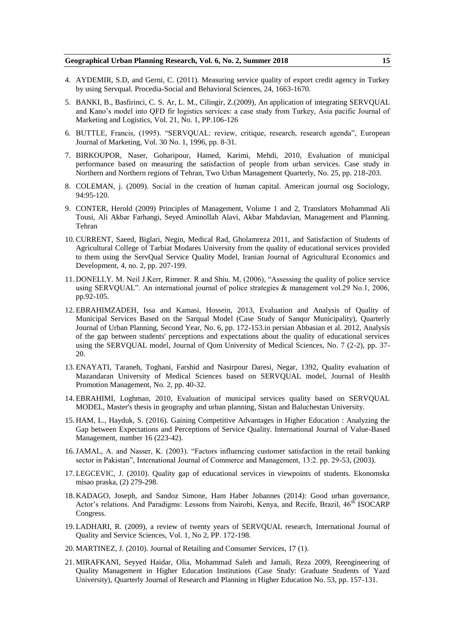- 4. AYDEMIR, S.D, and Gerni, C. (2011). Measuring service quality of export credit agency in Turkey by using Servqual. Procedia-Social and Behavioral Sciences, 24, 1663-1670.
- 5. BANKI, B., Basfirinci, C. S. Ar, L. M., Cilingir, Z.(2009), An application of integrating SERVQUAL and Kano's model into QFD fir logistics services: a case study from Turkey, Asia pacific Journal of Marketing and Logistics, Vol. 21, No. 1, PP.106-126
- 6. BUTTLE, Francis, (1995). "SERVQUAL: review, critique, research, research agenda", European Journal of Marketing, Vol. 30 No. 1, 1996, pp. 8-31.
- 7. BIRKOUPOR, Naser, Goharipour, Hamed, Karimi, Mehdi, 2010, Evaluation of municipal performance based on measuring the satisfaction of people from urban services. Case study in Northern and Northern regions of Tehran, Two Urban Management Quarterly, No. 25, pp. 218-203.
- 8. COLEMAN, j. (2009). Social in the creation of human capital. American journal osg Sociology, 94:95-120.
- 9. CONTER, Herold (2009) Principles of Management, Volume 1 and 2, Translators Mohammad Ali Tousi, Ali Akbar Farhangi, Seyed Aminollah Alavi, Akbar Mahdavian, Management and Planning. Tehran
- 10.CURRENT, Saeed, Biglari, Negin, Medical Rad, Gholamreza 2011, and Satisfaction of Students of Agricultural College of Tarbiat Modares University from the quality of educational services provided to them using the ServQual Service Quality Model, Iranian Journal of Agricultural Economics and Development, 4, no. 2, pp. 207-199.
- 11. DONELLY. M. Neil J.Kerr, Rimmer. R and Shiu. M, (2006), "Assessing the quality of police service using SERVQUAL". An international journal of police strategies & management vol.29 No.1, 2006, pp.92-105.
- 12. EBRAHIMZADEH, Issa and Kamasi, Hossein, 2013, Evaluation and Analysis of Quality of Municipal Services Based on the Sarqual Model (Case Study of Sanqor Municipality), Quarterly Journal of Urban Planning, Second Year, No. 6, pp. 172-153.in persian Abbasian et al. 2012, Analysis of the gap between students' perceptions and expectations about the quality of educational services using the SERVQUAL model, Journal of Qom University of Medical Sciences, No. 7 (2-2), pp. 37- 20.
- 13. ENAYATI, Taraneh, Toghani, Farshid and Nasirpour Daresi, Negar, 1392, Quality evaluation of Mazandaran University of Medical Sciences based on SERVQUAL model, Journal of Health Promotion Management, No. 2, pp. 40-32.
- 14. EBRAHIMI, Loghman, 2010, Evaluation of municipal services quality based on SERVQUAL MODEL, Master's thesis in geography and urban planning, Sistan and Baluchestan University.
- 15. HAM, L., Hayduk, S. (2016). Gaining Competitive Advantages in Higher Education : Analyzing the Gap between Expectations and Perceptions of Service Quality. International Journal of Value-Based Management, number 16 (223-42).
- 16. JAMAL, A. and Nasser, K. (2003). "Factors influencing customer satisfaction in the retail banking sector in Pakistan", International Journal of Commerce and Management, 13:2. pp. 29-53, (2003).
- 17. LEGCEVIC, J. (2010). Quality gap of educational services in viewpoints of students. Ekonomska misao praska, (2) 279-298.
- 18. KADAGO, Joseph, and Sandoz Simone, Ham Haber Johannes (2014): Good urban governance, Actor's relations. And Paradigms: Lessons from Nairobi, Kenya, and Recife, Brazil, 46<sup>th</sup> ISOCARP Congress.
- 19. LADHARI, R. (2009), a review of twenty years of SERVQUAL research, International Journal of Quality and Service Sciences, Vol. 1, No 2, PP. 172-198.
- 20. MARTINEZ, J. (2010). Journal of Retailing and Consumer Services, 17 (1).
- 21. MIRAFKANI, Seyyed Haidar, Olia, Mohammad Saleh and Jamali, Reza 2009, Reengineering of Quality Management in Higher Education Institutions (Case Study: Graduate Students of Yazd University), Quarterly Journal of Research and Planning in Higher Education No. 53, pp. 157-131.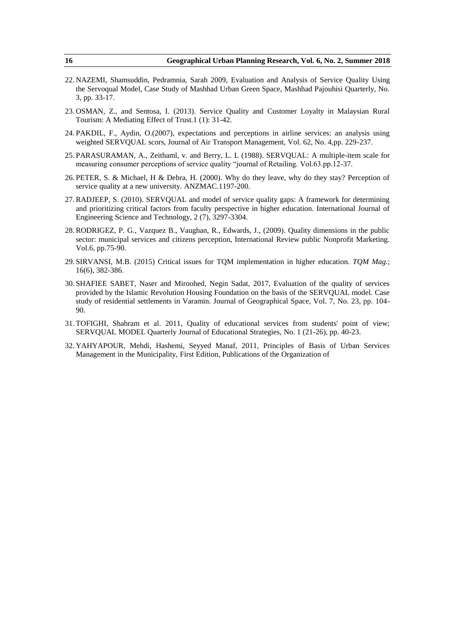- 22. NAZEMI, Shamsuddin, Pedramnia, Sarah 2009, Evaluation and Analysis of Service Quality Using the Servoqual Model, Case Study of Mashhad Urban Green Space, Mashhad Pajouhisi Quarterly, No. 3, pp. 33-17.
- 23. OSMAN, Z., and Sentosa, I. (2013). Service Quality and Customer Loyalty in Malaysian Rural Tourism: A Mediating Effect of Trust.1 (1): 31-42.
- 24. PAKDIL, F., Aydin, O.(2007), expectations and perceptions in airline services: an analysis using weighted SERVQUAL scors, Journal of Air Transport Management, Vol. 62, No. 4,pp. 229-237.
- 25. PARASURAMAN, A., Zeithaml, v. and Berry, L. L (1988). SERVQUAL: A multiple-item scale for measuring consumer perceptions of service quality "journal of Retailing. Vol.63.pp.12-37.
- 26. PETER, S. & Michael, H & Debra, H. (2000). Why do they leave, why do they stay? Perception of service quality at a new university. ANZMAC.1197-200.
- 27.RADJEEP, S. (2010). SERVQUAL and model of service quality gaps: A framework for determining and prioritizing critical factors from faculty perspective in higher education. International Journal of Engineering Science and Technology, 2 (7), 3297-3304.
- 28.RODRIGEZ, P. G., Vazquez B., Vaughan, R., Edwards, J., (2009). Quality dimensions in the public sector: municipal services and citizens perception, International Review public Nonprofit Marketing. Vol.6, pp.75-90.
- 29. SIRVANSI, M.B. (2015) Critical issues for TQM implementation in higher education. *TQM Mag.*; 16(6), 382-386.
- 30. SHAFIEE SABET, Naser and Miroohed, Negin Sadat, 2017, Evaluation of the quality of services provided by the Islamic Revolution Housing Foundation on the basis of the SERVQUAL model. Case study of residential settlements in Varamin. Journal of Geographical Space, Vol. 7, No. 23, pp. 104- 90.
- 31. TOFIGHI, Shahram et al. 2011, Quality of educational services from students' point of view; SERVQUAL MODEL Quarterly Journal of Educational Strategies, No. 1 (21-26), pp. 40-23.
- 32. YAHYAPOUR, Mehdi, Hashemi, Seyyed Manaf, 2011, Principles of Basis of Urban Services Management in the Municipality, First Edition, Publications of the Organization of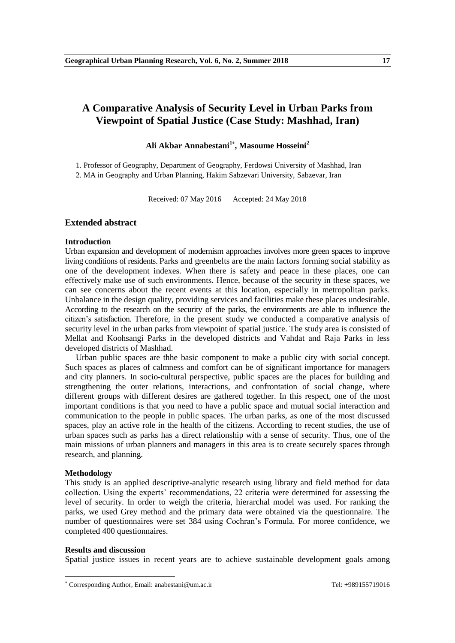# **A Comparative Analysis of Security Level in Urban Parks from Viewpoint of Spatial Justice (Case Study: Mashhad, Iran)**

# **Ali Akbar Annabestani 1 , Masoume Hosseini<sup>2</sup>**

1. Professor of Geography, Department of Geography, Ferdowsi University of Mashhad, Iran 2. MA in Geography and Urban Planning, Hakim Sabzevari University, Sabzevar, Iran

Received: 07 May 2016 Accepted: 24 May 2018

# **Extended abstract**

#### **Introduction**

Urban expansion and development of modernism approaches involves more green spaces to improve living conditions of residents. Parks and greenbelts are the main factors forming social stability as one of the development indexes. When there is safety and peace in these places, one can effectively make use of such environments. Hence, because of the security in these spaces, we can see concerns about the recent events at this location, especially in metropolitan parks. Unbalance in the design quality, providing services and facilities make these places undesirable. According to the research on the security of the parks, the environments are able to influence the citizen's satisfaction. Therefore, in the present study we conducted a comparative analysis of security level in the urban parks from viewpoint of spatial justice. The study area is consisted of Mellat and Koohsangi Parks in the developed districts and Vahdat and Raja Parks in less developed districts of Mashhad.

Urban public spaces are thhe basic component to make a public city with social concept. Such spaces as places of calmness and comfort can be of significant importance for managers and city planners. In socio-cultural perspective, public spaces are the places for building and strengthening the outer relations, interactions, and confrontation of social change, where different groups with different desires are gathered together. In this respect, one of the most important conditions is that you need to have a public space and mutual social interaction and communication to the people in public spaces. The urban parks, as one of the most discussed spaces, play an active role in the health of the citizens. According to recent studies, the use of urban spaces such as parks has a direct relationship with a sense of security. Thus, one of the main missions of urban planners and managers in this area is to create securely spaces through research, and planning.

#### **Methodology**

**.** 

This study is an applied descriptive-analytic research using library and field method for data collection. Using the experts' recommendations, 22 criteria were determined for assessing the level of security. In order to weigh the criteria, hierarchal model was used. For ranking the parks, we used Grey method and the primary data were obtained via the questionnaire. The number of questionnaires were set 384 using Cochran's Formula. For moree confidence, we completed 400 questionnaires.

#### **Results and discussion**

Spatial justice issues in recent years are to achieve sustainable development goals among

Corresponding Author, Email: anabestani@um.ac.ir Tel: +989155719016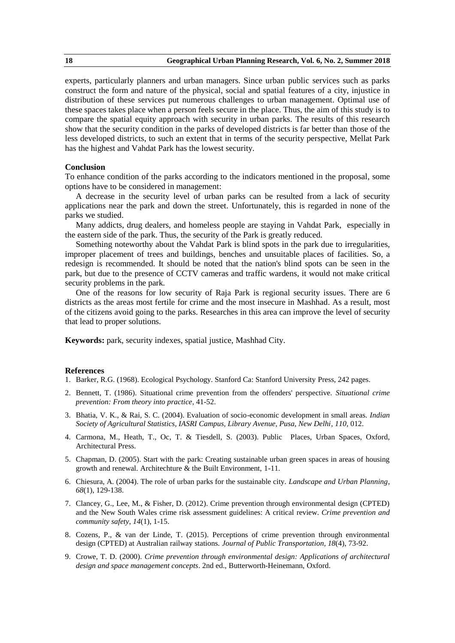experts, particularly planners and urban managers. Since urban public services such as parks construct the form and nature of the physical, social and spatial features of a city, injustice in distribution of these services put numerous challenges to urban management. Optimal use of these spaces takes place when a person feels secure in the place. Thus, the aim of this study is to compare the spatial equity approach with security in urban parks. The results of this research show that the security condition in the parks of developed districts is far better than those of the less developed districts, to such an extent that in terms of the security perspective, Mellat Park has the highest and Vahdat Park has the lowest security.

### **Conclusion**

To enhance condition of the parks according to the indicators mentioned in the proposal, some options have to be considered in management:

A decrease in the security level of urban parks can be resulted from a lack of security applications near the park and down the street. Unfortunately, this is regarded in none of the parks we studied.

Many addicts, drug dealers, and homeless people are staying in Vahdat Park, especially in the eastern side of the park. Thus, the security of the Park is greatly reduced.

Something noteworthy about the Vahdat Park is blind spots in the park due to irregularities, improper placement of trees and buildings, benches and unsuitable places of facilities. So, a redesign is recommended. It should be noted that the nation's blind spots can be seen in the park, but due to the presence of CCTV cameras and traffic wardens, it would not make critical security problems in the park.

One of the reasons for low security of Raja Park is regional security issues. There are 6 districts as the areas most fertile for crime and the most insecure in Mashhad. As a result, most of the citizens avoid going to the parks. Researches in this area can improve the level of security that lead to proper solutions.

**Keywords:** park, security indexes, spatial justice, Mashhad City.

- 1. Barker, R.G. (1968). Ecological Psychology. Stanford Ca: Stanford University Press, 242 pages.
- 2. Bennett, T. (1986). Situational crime prevention from the offenders' perspective. *Situational crime prevention: From theory into practice*, 41-52.
- 3. Bhatia, V. K., & Rai, S. C. (2004). Evaluation of socio-economic development in small areas. *Indian Society of Agricultural Statistics, IASRI Campus, Library Avenue, Pusa, New Delhi*, *110*, 012.
- 4. Carmona, M., Heath, T., Oc, T. & Tiesdell, S. (2003). Public Places, Urban Spaces, Oxford, Architectural Press.
- 5. Chapman, D. (2005). Start with the park: Creating sustainable urban green spaces in areas of housing growth and renewal. Architechture & the Built Environment, 1-11.
- 6. Chiesura, A. (2004). The role of urban parks for the sustainable city. *Landscape and Urban Planning*, *68*(1), 129-138.
- 7. Clancey, G., Lee, M., & Fisher, D. (2012). Crime prevention through environmental design (CPTED) and the New South Wales crime risk assessment guidelines: A critical review. *Crime prevention and community safety*, *14*(1), 1-15.
- 8. Cozens, P., & van der Linde, T. (2015). Perceptions of crime prevention through environmental design (CPTED) at Australian railway stations. *Journal of Public Transportation*, *18*(4), 73-92.
- 9. Crowe, T. D. (2000). *Crime prevention through environmental design: Applications of architectural design and space management concepts*. 2nd ed., Butterworth-Heinemann, Oxford.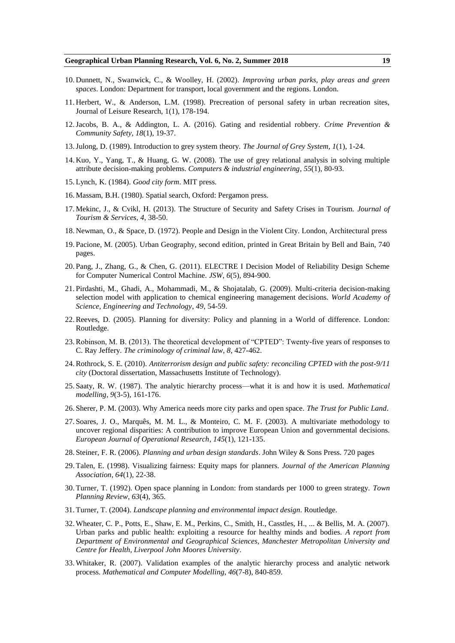- 10. Dunnett, N., Swanwick, C., & Woolley, H. (2002). *Improving urban parks, play areas and green spaces*. London: Department for transport, local government and the regions. London.
- 11. Herbert, W., & Anderson, L.M. (1998). Precreation of personal safety in urban recreation sites, Journal of Leisure Research, 1(1), 178-194.
- 12.Jacobs, B. A., & Addington, L. A. (2016). Gating and residential robbery. *Crime Prevention & Community Safety*, *18*(1), 19-37.
- 13.Julong, D. (1989). Introduction to grey system theory. *The Journal of Grey System*, *1*(1), 1-24.
- 14. Kuo, Y., Yang, T., & Huang, G. W. (2008). The use of grey relational analysis in solving multiple attribute decision-making problems. *Computers & industrial engineering*, *55*(1), 80-93.
- 15. Lynch, K. (1984). *Good city form*. MIT press.
- 16. Massam, B.H. (1980). Spatial search, Oxford: Pergamon press.
- 17. Mekinc, J., & Cvikl, H. (2013). The Structure of Security and Safety Crises in Tourism. *Journal of Tourism & Services*, *4*, 38-50.
- 18. Newman, O., & Space, D. (1972). People and Design in the Violent City. London, Architectural press
- 19. Pacione, M. (2005). Urban Geography, second edition, printed in Great Britain by Bell and Bain, 740 pages.
- 20. Pang, J., Zhang, G., & Chen, G. (2011). ELECTRE I Decision Model of Reliability Design Scheme for Computer Numerical Control Machine. *JSW*, *6*(5), 894-900.
- 21. Pirdashti, M., Ghadi, A., Mohammadi, M., & Shojatalab, G. (2009). Multi-criteria decision-making selection model with application to chemical engineering management decisions. *World Academy of Science, Engineering and Technology*, *49*, 54-59.
- 22.Reeves, D. (2005). Planning for diversity: Policy and planning in a World of difference. London: Routledge.
- 23. Robinson, M. B. (2013). The theoretical development of "CPTED": Twenty-five years of responses to C. Ray Jeffery. *The criminology of criminal law*, *8*, 427-462.
- 24.Rothrock, S. E. (2010). *Antiterrorism design and public safety: reconciling CPTED with the post-9/11 city* (Doctoral dissertation, Massachusetts Institute of Technology).
- 25. Saaty, R. W. (1987). The analytic hierarchy process—what it is and how it is used. *Mathematical modelling*, *9*(3-5), 161-176.
- 26. Sherer, P. M. (2003). Why America needs more city parks and open space. *The Trust for Public Land*.
- 27. Soares, J. O., Marquês, M. M. L., & Monteiro, C. M. F. (2003). A multivariate methodology to uncover regional disparities: A contribution to improve European Union and governmental decisions. *European Journal of Operational Research*, *145*(1), 121-135.
- 28. Steiner, F. R. (2006). *Planning and urban design standards*. John Wiley & Sons Press. 720 pages
- 29. Talen, E. (1998). Visualizing fairness: Equity maps for planners. *Journal of the American Planning Association*, *64*(1), 22-38.
- 30. Turner, T. (1992). Open space planning in London: from standards per 1000 to green strategy. *Town Planning Review*, *63*(4), 365.
- 31. Turner, T. (2004). *Landscape planning and environmental impact design*. Routledge.
- 32. Wheater, C. P., Potts, E., Shaw, E. M., Perkins, C., Smith, H., Casstles, H., ... & Bellis, M. A. (2007). Urban parks and public health: exploiting a resource for healthy minds and bodies. *A report from Department of Environmental and Geographical Sciences, Manchester Metropolitan University and Centre for Health, Liverpool John Moores University*.
- 33. Whitaker, R. (2007). Validation examples of the analytic hierarchy process and analytic network process. *Mathematical and Computer Modelling*, *46*(7-8), 840-859.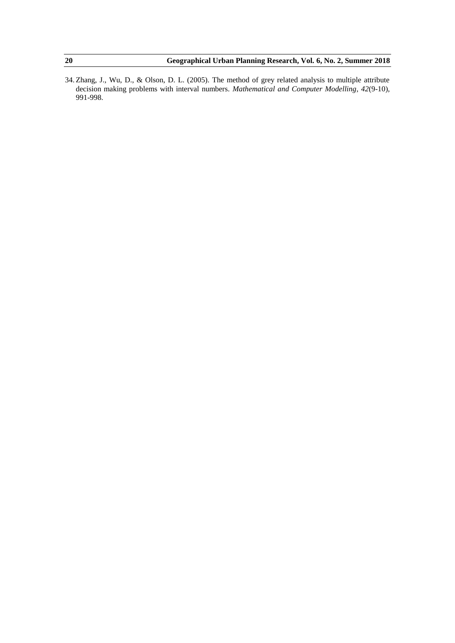34. Zhang, J., Wu, D., & Olson, D. L. (2005). The method of grey related analysis to multiple attribute decision making problems with interval numbers. *Mathematical and Computer Modelling*, *42*(9-10), 991-998.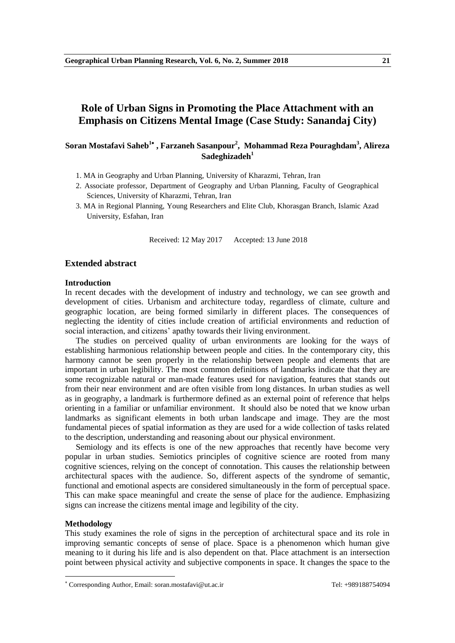# **Role of Urban Signs in Promoting the Place Attachment with an Emphasis on Citizens Mental Image (Case Study: Sanandaj City)**

# **Soran Mostafavi Saheb<sup>1</sup> , Farzaneh Sasanpour<sup>2</sup> , Mohammad Reza Pouraghdam<sup>3</sup> , Alireza Sadeghizadeh<sup>1</sup>**

- 1. MA in Geography and Urban Planning, University of Kharazmi, Tehran, Iran
- 2. Associate professor, Department of Geography and Urban Planning, Faculty of Geographical Sciences, University of Kharazmi, Tehran, Iran
- 3. MA in Regional Planning, Young Researchers and Elite Club, Khorasgan Branch, Islamic Azad University, Esfahan, Iran

Received: 12 May 2017 Accepted: 13 June 2018

# **Extended abstract**

#### **Introduction**

In recent decades with the development of industry and technology, we can see growth and development of cities. Urbanism and architecture today, regardless of climate, culture and geographic location, are being formed similarly in different places. The consequences of neglecting the identity of cities include creation of artificial environments and reduction of social interaction, and citizens' apathy towards their living environment.

The studies on perceived quality of urban environments are looking for the ways of establishing harmonious relationship between people and cities. In the contemporary city, this harmony cannot be seen properly in the relationship between people and elements that are important in urban legibility. The most common definitions of landmarks indicate that they are some recognizable natural or man-made features used for navigation, features that stands out from their near environment and are often visible from long distances. In urban studies as well as in geography, a landmark is furthermore defined as an external point of reference that helps orienting in a familiar or unfamiliar environment. It should also be noted that we know urban landmarks as significant elements in both urban landscape and image. They are the most fundamental pieces of spatial information as they are used for a wide collection of tasks related to the description, understanding and reasoning about our physical environment.

Semiology and its effects is one of the new approaches that recently have become very popular in urban studies. Semiotics principles of cognitive science are rooted from many cognitive sciences, relying on the concept of connotation. This causes the relationship between architectural spaces with the audience. So, different aspects of the syndrome of semantic, functional and emotional aspects are considered simultaneously in the form of perceptual space. This can make space meaningful and create the sense of place for the audience. Emphasizing signs can increase the citizens mental image and legibility of the city.

#### **Methodology**

**.** 

This study examines the role of signs in the perception of architectural space and its role in improving semantic concepts of sense of place. Space is a phenomenon which human give meaning to it during his life and is also dependent on that. Place attachment is an intersection point between physical activity and subjective components in space. It changes the space to the

<sup>\*</sup> Corresponding Author, Email: soran.mostafavi@ut.ac.ir Tel: +989188754094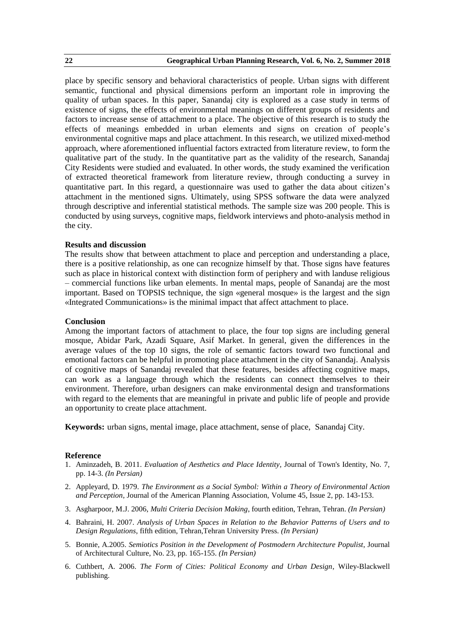place by specific sensory and behavioral characteristics of people. Urban signs with different semantic, functional and physical dimensions perform an important role in improving the quality of urban spaces. In this paper, Sanandaj city is explored as a case study in terms of existence of signs, the effects of environmental meanings on different groups of residents and factors to increase sense of attachment to a place. The objective of this research is to study the effects of meanings embedded in urban elements and signs on creation of people's environmental cognitive maps and place attachment. In this research, we utilized mixed-method approach, where aforementioned influential factors extracted from literature review, to form the qualitative part of the study. In the quantitative part as the validity of the research, Sanandaj City Residents were studied and evaluated. In other words, the study examined the verification of extracted theoretical framework from literature review, through conducting a survey in quantitative part. In this regard, a questionnaire was used to gather the data about citizen's attachment in the mentioned signs. Ultimately, using SPSS software the data were analyzed through descriptive and inferential statistical methods. The sample size was 200 people. This is conducted by using surveys, cognitive maps, fieldwork interviews and photo-analysis method in the city.

#### **Results and discussion**

The results show that between attachment to place and perception and understanding a place, there is a positive relationship, as one can recognize himself by that. Those signs have features such as place in historical context with distinction form of periphery and with landuse religious – commercial functions like urban elements. In mental maps, people of Sanandaj are the most important. Based on TOPSIS technique, the sign «general mosque» is the largest and the sign «Integrated Communications» is the minimal impact that affect attachment to place.

#### **Conclusion**

Among the important factors of attachment to place, the four top signs are including general mosque, Abidar Park, Azadi Square, Asif Market. In general, given the differences in the average values of the top 10 signs, the role of semantic factors toward two functional and emotional factors can be helpful in promoting place attachment in the city of Sanandaj. Analysis of cognitive maps of Sanandaj revealed that these features, besides affecting cognitive maps, can work as a language through which the residents can connect themselves to their environment. Therefore, urban designers can make environmental design and transformations with regard to the elements that are meaningful in private and public life of people and provide an opportunity to create place attachment.

**Keywords:** urban signs, mental image, place attachment, sense of place, Sanandaj City.

- 1. Aminzadeh, B. 2011. *Evaluation of Aesthetics and Place Identity*, Journal of Town's Identity, No. 7, pp. 14-3. *(In Persian)*
- 2. Appleyard, D. 1979. *The Environment as a Social Symbol: Within a Theory of Environmental Action and Perception*, Journal of the American Planning Association, Volume 45, Issue 2, pp. 143-153.
- 3. Asgharpoor, M.J. 2006, *Multi Criteria Decision Making*, fourth edition, Tehran, Tehran. *(In Persian)*
- 4. Bahraini, H. 2007. *Analysis of Urban Spaces in Relation to the Behavior Patterns of Users and to Design Regulations*, fifth edition, Tehran,Tehran University Press. *(In Persian)*
- 5. Bonnie, A.2005. *Semiotics Position in the Development of Postmodern Architecture Populist*, Journal of Architectural Culture, No. 23, pp. 165-155. *(In Persian)*
- 6. Cuthbert, A. 2006. *The Form of Cities: Political Economy and Urban Design*, Wiley-Blackwell publishing.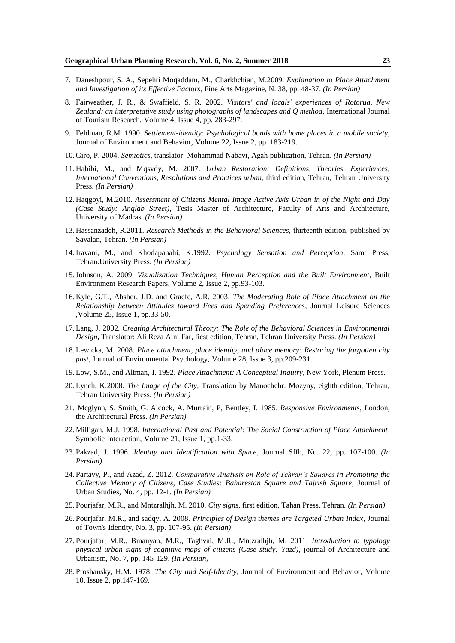- 7. Daneshpour, S. A., Sepehri Moqaddam, M., Charkhchian, M.2009. *Explanation to Place Attachment and Investigation of its Effective Factors*, Fine Arts Magazine, N. 38, pp. 48-37. *(In Persian)*
- 8. Fairweather, J. R., & Swaffield, S. R. 2002. *Visitors' and locals' experiences of Rotorua, New Zealand: an interpretative study using photographs of landscapes and Q method*, International Journal of Tourism Research, Volume 4, Issue 4, pp. 283-297.
- 9. Feldman, R.M. 1990. *Settlement-identity: Psychological bonds with home places in a mobile society*, Journal of Environment and Behavior, Volume 22, Issue 2, pp. 183-219.
- 10. Giro, P. 2004. *Semiotics*, translator: Mohammad Nabavi, Agah publication, Tehran. *(In Persian)*
- 11. Habibi, M., and Mqsvdy, M. 2007. *Urban Restoration: Definitions, Theories, Experiences, International Conventions, Resolutions and Practices urban*, third edition, Tehran, Tehran University Press. *(In Persian)*
- 12. Haqgoyi, M.2010. *Assessment of Citizens Mental Image Active Axis Urban in of the Night and Day (Case Study: Anqlab Street)*, Tesis Master of Architecture, Faculty of Arts and Architecture, University of Madras. *(In Persian)*
- 13. Hassanzadeh, R.2011. *Research Methods in the Behavioral Sciences*, thirteenth edition, published by Savalan, Tehran. *(In Persian)*
- 14.Iravani, M., and Khodapanahi, K.1992. *Psychology Sensation and Perception*, Samt Press, Tehran.University Press. *(In Persian)*
- 15.Johnson, A. 2009. *Visualization Techniques, Human Perception and the Built Environment*, Built Environment Research Papers, Volume 2, Issue 2, pp.93-103.
- 16. Kyle, G.T., Absher, J.D. and Graefe, A.R. 2003. *The Moderating Role of Place Attachment on the Relationship between Attitudes toward Fees and Spending Preferences*, Journal Leisure Sciences ,Volume 25, Issue 1, pp.33-50.
- 17. Lang, J. 2002. *Creating Architectural Theory: The Role of the Behavioral Sciences in Environmental Design***,** Translator: Ali Reza Aini Far, fiest edition, Tehran, Tehran University Press. *(In Persian)*
- 18. Lewicka, M. 2008. *Place attachment, place identity, and place memory: Restoring the forgotten city past*, Journal of Environmental Psychology, Volume 28, Issue 3, pp.209-231.
- 19. Low, S.M., and Altman, I. 1992. *Place Attachment: A Conceptual Inquiry*, New York, Plenum Press.
- 20. Lynch, K.2008. *The Image of the City*, Translation by Manochehr. Mozyny, eighth edition, Tehran, Tehran University Press. *(In Persian)*
- 21. Mcglynn, S. Smith, G. Alcock, A. Murrain, P, Bentley, I. 1985. *Responsive Environments*, London, the Architectural Press. *(In Persian)*
- 22. Milligan, M.J. 1998. *Interactional Past and Potential: The Social Construction of Place Attachment*, Symbolic Interaction, Volume 21, Issue 1, pp.1-33.
- 23. Pakzad, J. 1996. *Identity and Identification with Space*, Journal Sffh, No. 22, pp. 107-100. *(In Persian)*
- 24. Partavy, P., and Azad, Z. 2012. *Comparative Analysis on Role of Tehran's Squares in Promoting the Collective Memory of Citizens, Case Studies: Baharestan Square and Tajrish Square*, Journal of Urban Studies, No. 4, pp. 12-1. *(In Persian)*
- 25. Pourjafar, M.R., and Mntzralhjh, M. 2010. *City signs*, first edition, Tahan Press, Tehran. *(In Persian)*
- 26. Pourjafar, M.R., and sadqy, A. 2008. *Principles of Design themes are Targeted Urban Index*, Journal of Town's Identity, No. 3, pp. 107-95. *(In Persian)*
- 27. Pourjafar, M.R., Bmanyan, M.R., Taghvai, M.R., Mntzralhjh, M. 2011. *Introduction to typology physical urban signs of cognitive maps of citizens (Case study: Yazd)*, journal of Architecture and Urbanism, No. 7, pp. 145-129. *(In Persian)*
- 28. Proshansky, H.M. 1978. *The City and Self-Identity*, Journal of Environment and Behavior, Volume 10, Issue 2, pp.147-169.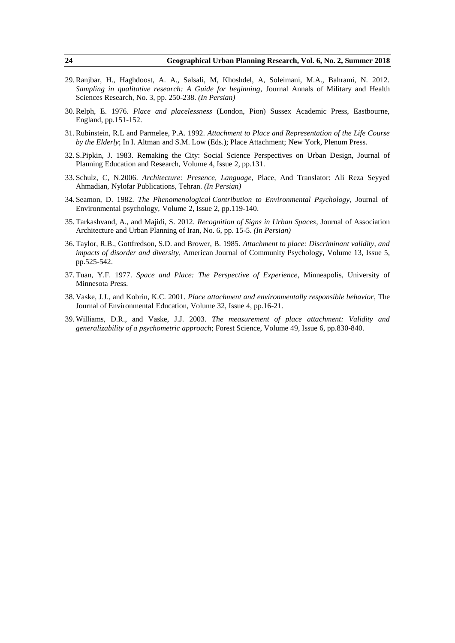- 29.Ranjbar, H., Haghdoost, A. A., Salsali, M, Khoshdel, A, Soleimani, M.A., Bahrami, N. 2012. *Sampling in qualitative research: A Guide for beginning*, Journal Annals of Military and Health Sciences Research, No. 3, pp. 250-238. *(In Persian)*
- 30.Relph, E. 1976. *Place and placelessness* (London, Pion) Sussex Academic Press, Eastbourne, England, pp.151-152.
- 31.Rubinstein, R.L and Parmelee, P.A. 1992. *Attachment to Place and Representation of the Life Course by the Elderly*; In I. Altman and S.M. Low (Eds.); Place Attachment; New York, Plenum Press.
- 32. S.Pipkin, J. 1983. Remaking the City: Social Science Perspectives on Urban Design, Journal of Planning Education and Research, Volume 4, Issue 2, pp.131.
- 33. Schulz, C, N.2006. *Architecture: Presence, Language*, Place, And Translator: Ali Reza Seyyed Ahmadian, Nylofar Publications, Tehran. *(In Persian)*
- 34. Seamon, D. 1982. *The Phenomenological Contribution to Environmental Psychology*, Journal of Environmental psychology, Volume 2, Issue 2, pp.119-140.
- 35. Tarkashvand, A., and Majidi, S. 2012. *Recognition of Signs in Urban Spaces*, Journal of Association Architecture and Urban Planning of Iran, No. 6, pp. 15-5. *(In Persian)*
- 36. Taylor, R.B., Gottfredson, S.D. and Brower, B. 1985. *Attachment to place: Discriminant validity, and impacts of disorder and diversity*, American Journal of Community Psychology, Volume 13, Issue 5, pp.525-542.
- 37. Tuan, Y.F. 1977. *Space and Place: The Perspective of Experience*, Minneapolis, University of Minnesota Press.
- 38. Vaske, J.J., and Kobrin, K.C. 2001. *Place attachment and environmentally responsible behavior*, The Journal of Environmental Education, Volume 32, Issue 4, pp.16-21.
- 39. Williams, D.R., and Vaske, J.J. 2003. *The measurement of place attachment: Validity and generalizability of a psychometric approach*; Forest Science, Volume 49, Issue 6, pp.830-840.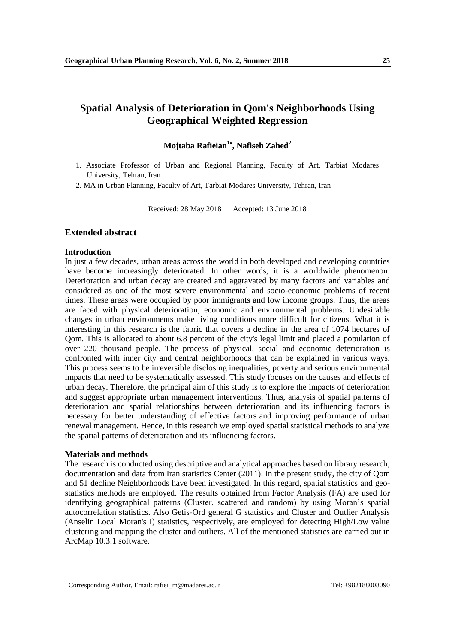# **Spatial Analysis of Deterioration in Qom's Neighborhoods Using Geographical Weighted Regression**

# **Mojtaba Rafieian<sup>1</sup> , Nafiseh Zahed<sup>2</sup>**

1. Associate Professor of Urban and Regional Planning, Faculty of Art, Tarbiat Modares University, Tehran, Iran

2. MA in Urban Planning, Faculty of Art, Tarbiat Modares University, Tehran, Iran

Received: 28 May 2018 Accepted: 13 June 2018

# **Extended abstract**

#### **Introduction**

In just a few decades, urban areas across the world in both developed and developing countries have become increasingly deteriorated. In other words, it is a worldwide phenomenon. Deterioration and urban decay are created and aggravated by many factors and variables and considered as one of the most severe environmental and socio-economic problems of recent times. These areas were occupied by poor immigrants and low income groups. Thus, the areas are faced with physical deterioration, economic and environmental problems. Undesirable changes in urban environments make living conditions more difficult for citizens. What it is interesting in this research is the fabric that covers a decline in the area of 1074 hectares of Qom. This is allocated to about 6.8 percent of the city's legal limit and placed a population of over 220 thousand people. The process of physical, social and economic deterioration is confronted with inner city and central neighborhoods that can be explained in various ways. This process seems to be irreversible disclosing inequalities, poverty and serious environmental impacts that need to be systematically assessed. This study focuses on the causes and effects of urban decay. Therefore, the principal aim of this study is to explore the impacts of deterioration and suggest appropriate urban management interventions. Thus, analysis of spatial patterns of deterioration and spatial relationships between deterioration and its influencing factors is necessary for better understanding of effective factors and improving performance of urban renewal management. Hence, in this research we employed spatial statistical methods to analyze the spatial patterns of deterioration and its influencing factors.

### **Materials and methods**

**.** 

The research is conducted using descriptive and analytical approaches based on library research, documentation and data from Iran statistics Center (2011). In the present study, the city of Qom and 51 decline Neighborhoods have been investigated. In this regard, spatial statistics and geostatistics methods are employed. The results obtained from Factor Analysis (FA) are used for identifying geographical patterns (Cluster, scattered and random) by using Moran's spatial autocorrelation statistics. Also Getis-Ord general G statistics and Cluster and Outlier Analysis (Anselin Local Moran's I) statistics, respectively, are employed for detecting High/Low value clustering and mapping the cluster and outliers. All of the mentioned statistics are carried out in ArcMap 10.3.1 software.

<sup>\*</sup> Corresponding Author, Email: rafiei\_m@madares.ac.ir Tel: +982188008090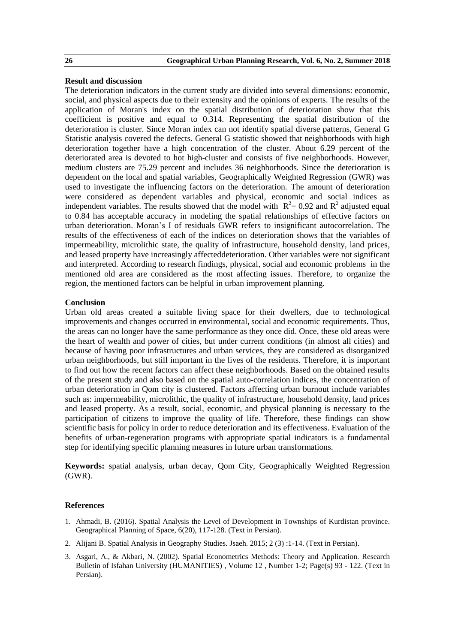# **Result and discussion**

The deterioration indicators in the current study are divided into several dimensions: economic, social, and physical aspects due to their extensity and the opinions of experts. The results of the application of Moran's index on the spatial distribution of deterioration show that this coefficient is positive and equal to 0.314. Representing the spatial distribution of the deterioration is cluster. Since Moran index can not identify spatial diverse patterns, General G Statistic analysis covered the defects. General G statistic showed that neighborhoods with high deterioration together have a high concentration of the cluster. About 6.29 percent of the deteriorated area is devoted to hot high-cluster and consists of five neighborhoods. However, medium clusters are 75.29 percent and includes 36 neighborhoods. Since the deterioration is dependent on the local and spatial variables, Geographically Weighted Regression (GWR) was used to investigate the influencing factors on the deterioration. The amount of deterioration were considered as dependent variables and physical, economic and social indices as independent variables. The results showed that the model with  $R^2 = 0.92$  and  $R^2$  adjusted equal to 0.84 has acceptable accuracy in modeling the spatial relationships of effective factors on urban deterioration. Moran's I of residuals GWR refers to insignificant autocorrelation. The results of the effectiveness of each of the indices on deterioration shows that the variables of impermeability, microlithic state, the quality of infrastructure, household density, land prices, and leased property have increasingly affecteddeterioration. Other variables were not significant and interpreted. According to research findings, physical, social and economic problems in the mentioned old area are considered as the most affecting issues. Therefore, to organize the region, the mentioned factors can be helpful in urban improvement planning.

# **Conclusion**

Urban old areas created a suitable living space for their dwellers, due to technological improvements and changes occurred in environmental, social and economic requirements. Thus, the areas can no longer have the same performance as they once did. Once, these old areas were the heart of wealth and power of cities, but under current conditions (in almost all cities) and because of having poor infrastructures and urban services, they are considered as disorganized urban neighborhoods, but still important in the lives of the residents. Therefore, it is important to find out how the recent factors can affect these neighborhoods. Based on the obtained results of the present study and also based on the spatial auto-correlation indices, the concentration of urban deterioration in Qom city is clustered. Factors affecting urban burnout include variables such as: impermeability, microlithic, the quality of infrastructure, household density, land prices and leased property. As a result, social, economic, and physical planning is necessary to the participation of citizens to improve the quality of life. Therefore, these findings can show scientific basis for policy in order to reduce deterioration and its effectiveness. Evaluation of the benefits of urban-regeneration programs with appropriate spatial indicators is a fundamental step for identifying specific planning measures in future urban transformations.

**Keywords:** spatial analysis, urban decay, Qom City, Geographically Weighted Regression (GWR).

- 1. Ahmadi, B. (2016). Spatial Analysis the Level of Development in Townships of Kurdistan province. Geographical Planning of Space, 6(20), 117-128. (Text in Persian).
- 2. Alijani B. Spatial Analysis in Geography Studies. Jsaeh. 2015; 2 (3) :1-14. (Text in Persian).
- 3. Asgari, A., & Akbari, N. (2002). Spatial Econometrics Methods: Theory and Application. Research Bulletin of Isfahan University (HUMANITIES) , Volume 12 , Number 1-2; Page(s) 93 - 122. (Text in Persian).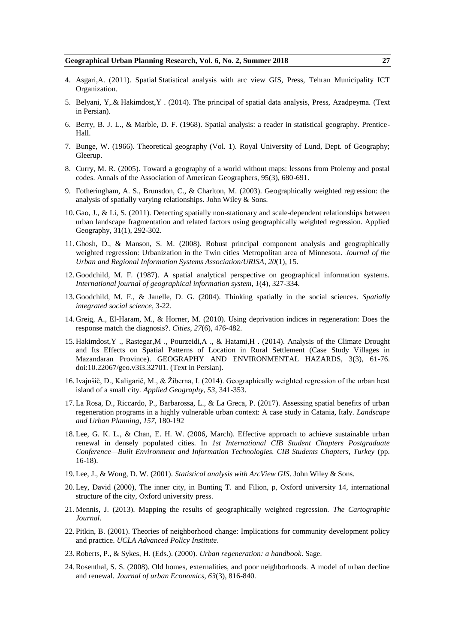- 4. Asgari,A. (2011). Spatial Statistical analysis with arc view GIS, Press, Tehran Municipality ICT Organization.
- 5. Belyani, Y,.& Hakimdost,Y . (2014). The principal of spatial data analysis, Press, Azadpeyma. (Text in Persian).
- 6. Berry, B. J. L., & Marble, D. F. (1968). Spatial analysis: a reader in statistical geography. Prentice-Hall.
- 7. Bunge, W. (1966). Theoretical geography (Vol. 1). Royal University of Lund, Dept. of Geography; Gleerup.
- 8. Curry, M. R. (2005). Toward a geography of a world without maps: lessons from Ptolemy and postal codes. Annals of the Association of American Geographers, 95(3), 680-691.
- 9. Fotheringham, A. S., Brunsdon, C., & Charlton, M. (2003). Geographically weighted regression: the analysis of spatially varying relationships. John Wiley & Sons.
- 10. Gao, J., & Li, S. (2011). Detecting spatially non-stationary and scale-dependent relationships between urban landscape fragmentation and related factors using geographically weighted regression. Applied Geography, 31(1), 292-302.
- 11. Ghosh, D., & Manson, S. M. (2008). Robust principal component analysis and geographically weighted regression: Urbanization in the Twin cities Metropolitan area of Minnesota. *Journal of the Urban and Regional Information Systems Association/URISA*, *20*(1), 15.
- 12. Goodchild, M. F. (1987). A spatial analytical perspective on geographical information systems. *International journal of geographical information system*, *1*(4), 327-334.
- 13. Goodchild, M. F., & Janelle, D. G. (2004). Thinking spatially in the social sciences. *Spatially integrated social science*, 3-22.
- 14. Greig, A., El-Haram, M., & Horner, M. (2010). Using deprivation indices in regeneration: Does the response match the diagnosis?. *Cities*, *27*(6), 476-482.
- 15. Hakimdost,Y ., Rastegar,M ., Pourzeidi,A ., & Hatami,H . (2014). Analysis of the Climate Drought and Its Effects on Spatial Patterns of Location in Rural Settlement (Case Study Villages in Mazandaran Province). GEOGRAPHY AND ENVIRONMENTAL HAZARDS, 3(3), 61-76. doi:10.22067/geo.v3i3.32701. (Text in Persian).
- 16.Ivajnšič, D., Kaligarič, M., & Žiberna, I. (2014). Geographically weighted regression of the urban heat island of a small city. *Applied Geography*, *53*, 341-353.
- 17. La Rosa, D., Riccardo, P., Barbarossa, L., & La Greca, P. (2017). Assessing spatial benefits of urban regeneration programs in a highly vulnerable urban context: A case study in Catania, Italy. *Landscape and Urban Planning*, *157*, 180-192
- 18. Lee, G. K. L., & Chan, E. H. W. (2006, March). Effective approach to achieve sustainable urban renewal in densely populated cities. In *1st International CIB Student Chapters Postgraduate Conference—Built Environment and Information Technologies. CIB Students Chapters, Turkey* (pp. 16-18).
- 19. Lee, J., & Wong, D. W. (2001). *Statistical analysis with ArcView GIS*. John Wiley & Sons.
- 20. Ley, David (2000), The inner city, in Bunting T. and Filion, p, Oxford university 14, international structure of the city, Oxford university press.
- 21. Mennis, J. (2013). Mapping the results of geographically weighted regression. *The Cartographic Journal*.
- 22. Pitkin, B. (2001). Theories of neighborhood change: Implications for community development policy and practice. *UCLA Advanced Policy Institute*.
- 23.Roberts, P., & Sykes, H. (Eds.). (2000). *Urban regeneration: a handbook*. Sage.
- 24.Rosenthal, S. S. (2008). Old homes, externalities, and poor neighborhoods. A model of urban decline and renewal. *Journal of urban Economics*, *63*(3), 816-840.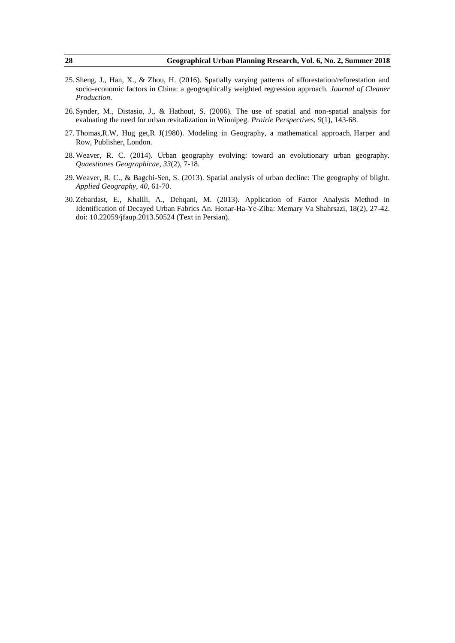- 25. Sheng, J., Han, X., & Zhou, H. (2016). Spatially varying patterns of afforestation/reforestation and socio-economic factors in China: a geographically weighted regression approach. *Journal of Cleaner Production*.
- 26. Synder, M., Distasio, J., & Hathout, S. (2006). The use of spatial and non-spatial analysis for evaluating the need for urban revitalization in Winnipeg. *Prairie Perspectives*, *9*(1), 143-68.
- 27. Thomas,R.W, Hug get,R J(1980). Modeling in Geography, a mathematical approach, Harper and Row, Publisher, London.
- 28. Weaver, R. C. (2014). Urban geography evolving: toward an evolutionary urban geography. *Quaestiones Geographicae*, *33*(2), 7-18.
- 29. Weaver, R. C., & Bagchi-Sen, S. (2013). Spatial analysis of urban decline: The geography of blight. *Applied Geography*, *40*, 61-70.
- 30. Zebardast, E., Khalili, A., Dehqani, M. (2013). Application of Factor Analysis Method in Identification of Decayed Urban Fabrics An. Honar-Ha-Ye-Ziba: Memary Va Shahrsazi, 18(2), 27-42. doi: 10.22059/jfaup.2013.50524 (Text in Persian).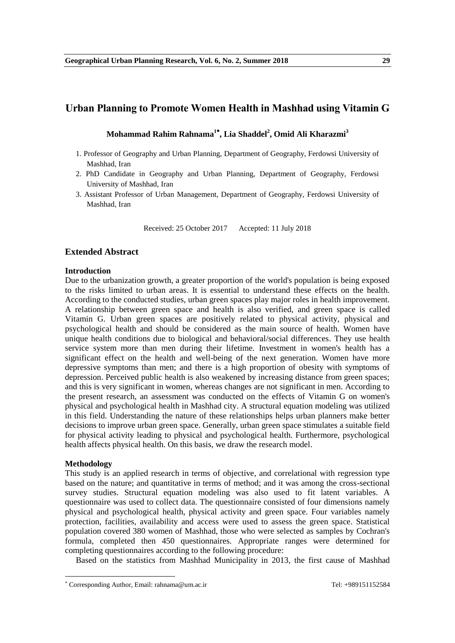# **Urban Planning to Promote Women Health in Mashhad using Vitamin G**

**Mohammad Rahim Rahnama<sup>1</sup> , Lia Shaddel<sup>2</sup> , Omid Ali Kharazmi<sup>3</sup>**

- 1. Professor of Geography and Urban Planning, Department of Geography, Ferdowsi University of Mashhad, Iran
- 2. PhD Candidate in Geography and Urban Planning, Department of Geography, Ferdowsi University of Mashhad, Iran
- 3. Assistant Professor of Urban Management, Department of Geography, Ferdowsi University of Mashhad, Iran

Received: 25 October 2017 Accepted: 11 July 2018

# **Extended Abstract**

# **Introduction**

Due to the urbanization growth, a greater proportion of the world's population is being exposed to the risks limited to urban areas. It is essential to understand these effects on the health. According to the conducted studies, urban green spaces play major roles in health improvement. A relationship between green space and health is also verified, and green space is called Vitamin G. Urban green spaces are positively related to physical activity, physical and psychological health and should be considered as the main source of health. Women have unique health conditions due to biological and behavioral/social differences. They use health service system more than men during their lifetime. Investment in women's health has a significant effect on the health and well-being of the next generation. Women have more depressive symptoms than men; and there is a high proportion of obesity with symptoms of depression. Perceived public health is also weakened by increasing distance from green spaces; and this is very significant in women, whereas changes are not significant in men. According to the present research, an assessment was conducted on the effects of Vitamin G on women's physical and psychological health in Mashhad city. A structural equation modeling was utilized in this field. Understanding the nature of these relationships helps urban planners make better decisions to improve urban green space. Generally, urban green space stimulates a suitable field for physical activity leading to physical and psychological health. Furthermore, psychological health affects physical health. On this basis, we draw the research model.

# **Methodology**

**.** 

This study is an applied research in terms of objective, and correlational with regression type based on the nature; and quantitative in terms of method; and it was among the cross-sectional survey studies. Structural equation modeling was also used to fit latent variables. A questionnaire was used to collect data. The questionnaire consisted of four dimensions namely physical and psychological health, physical activity and green space. Four variables namely protection, facilities, availability and access were used to assess the green space. Statistical population covered 380 women of Mashhad, those who were selected as samples by Cochran's formula, completed then 450 questionnaires. Appropriate ranges were determined for completing questionnaires according to the following procedure:

Based on the statistics from Mashhad Municipality in 2013, the first cause of Mashhad

<sup>\*</sup> Corresponding Author, Email: rahnama@um.ac.ir Tel: +989151152584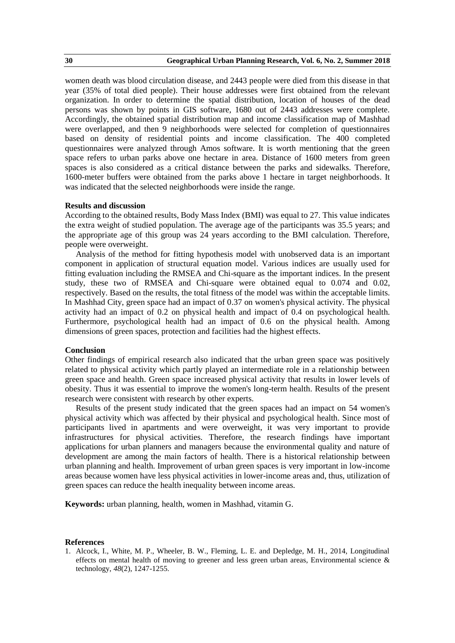women death was blood circulation disease, and 2443 people were died from this disease in that year (35% of total died people). Their house addresses were first obtained from the relevant organization. In order to determine the spatial distribution, location of houses of the dead persons was shown by points in GIS software, 1680 out of 2443 addresses were complete. Accordingly, the obtained spatial distribution map and income classification map of Mashhad were overlapped, and then 9 neighborhoods were selected for completion of questionnaires based on density of residential points and income classification. The 400 completed questionnaires were analyzed through Amos software. It is worth mentioning that the green space refers to urban parks above one hectare in area. Distance of 1600 meters from green spaces is also considered as a critical distance between the parks and sidewalks. Therefore, 1600-meter buffers were obtained from the parks above 1 hectare in target neighborhoods. It was indicated that the selected neighborhoods were inside the range.

### **Results and discussion**

According to the obtained results, Body Mass Index (BMI) was equal to 27. This value indicates the extra weight of studied population. The average age of the participants was 35.5 years; and the appropriate age of this group was 24 years according to the BMI calculation. Therefore, people were overweight.

Analysis of the method for fitting hypothesis model with unobserved data is an important component in application of structural equation model. Various indices are usually used for fitting evaluation including the RMSEA and Chi-square as the important indices. In the present study, these two of RMSEA and Chi-square were obtained equal to 0.074 and 0.02, respectively. Based on the results, the total fitness of the model was within the acceptable limits. In Mashhad City, green space had an impact of 0.37 on women's physical activity. The physical activity had an impact of 0.2 on physical health and impact of 0.4 on psychological health. Furthermore, psychological health had an impact of 0.6 on the physical health. Among dimensions of green spaces, protection and facilities had the highest effects.

### **Conclusion**

Other findings of empirical research also indicated that the urban green space was positively related to physical activity which partly played an intermediate role in a relationship between green space and health. Green space increased physical activity that results in lower levels of obesity. Thus it was essential to improve the women's long-term health. Results of the present research were consistent with research by other experts.

Results of the present study indicated that the green spaces had an impact on 54 women's physical activity which was affected by their physical and psychological health. Since most of participants lived in apartments and were overweight, it was very important to provide infrastructures for physical activities. Therefore, the research findings have important applications for urban planners and managers because the environmental quality and nature of development are among the main factors of health. There is a historical relationship between urban planning and health. Improvement of urban green spaces is very important in low-income areas because women have less physical activities in lower-income areas and, thus, utilization of green spaces can reduce the health inequality between income areas.

**Keywords:** urban planning, health, women in Mashhad, vitamin G.

#### **References**

1. Alcock, I., White, M. P., Wheeler, B. W., Fleming, L. E. and Depledge, M. H., 2014, Longitudinal effects on mental health of moving to greener and less green urban areas, Environmental science  $\&$ technology, *48*(2), 1247-1255.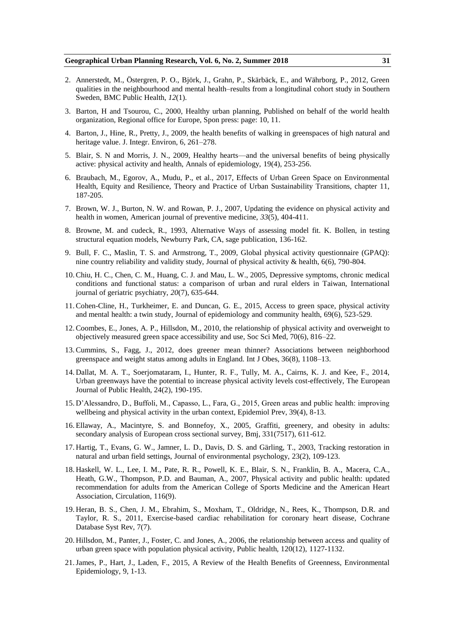- 2. Annerstedt, M., Östergren, P. O., Björk, J., Grahn, P., Skärbäck, E., and Währborg, P., 2012, Green qualities in the neighbourhood and mental health–results from a longitudinal cohort study in Southern Sweden, BMC Public Health, *12*(1).
- 3. Barton, H and Tsourou, C., 2000, Healthy urban planning, Published on behalf of the world health organization, Regional office for Europe, Spon press: page: 10, 11.
- 4. Barton, J., Hine, R., Pretty, J., 2009, the health benefits of walking in greenspaces of high natural and heritage value. J. Integr. Environ, 6, 261–278.
- 5. Blair, S. N and Morris, J. N., 2009, Healthy hearts—and the universal benefits of being physically active: physical activity and health, Annals of epidemiology, 19(4), 253-256.
- 6. Braubach, M., Egorov, A., Mudu, P., et al., 2017, Effects of Urban Green Space on Environmental Health, Equity and Resilience, Theory and Practice of Urban Sustainability Transitions, chapter 11, 187-205.
- 7. Brown, W. J., Burton, N. W. and Rowan, P. J., 2007, Updating the evidence on physical activity and health in women, American journal of preventive medicine, *33*(5), 404-411.
- 8. Browne, M. and cudeck, R., 1993, Alternative Ways of assessing model fit. K. Bollen, in testing structural equation models, Newburry Park, CA, sage publication, 136-162.
- 9. Bull, F. C., Maslin, T. S. and Armstrong, T., 2009, Global physical activity questionnaire (GPAQ): nine country reliability and validity study, Journal of physical activity & health, 6(6), 790-804.
- 10.Chiu, H. C., Chen, C. M., Huang, C. J. and Mau, L. W., 2005, Depressive symptoms, chronic medical conditions and functional status: a comparison of urban and rural elders in Taiwan, International journal of geriatric psychiatry, *20*(7), 635-644.
- 11.Cohen-Cline, H., Turkheimer, E. and Duncan, G. E., 2015, Access to green space, physical activity and mental health: a twin study, Journal of epidemiology and community health, 69(6), 523-529.
- 12.Coombes, E., Jones, A. P., Hillsdon, M., 2010, the relationship of physical activity and overweight to objectively measured green space accessibility and use, Soc Sci Med, 70(6), 816–22.
- 13.Cummins, S., Fagg, J., 2012, does greener mean thinner? Associations between neighborhood greenspace and weight status among adults in England. Int J Obes, 36(8), 1108–13.
- 14. Dallat, M. A. T., Soerjomataram, I., Hunter, R. F., Tully, M. A., Cairns, K. J. and Kee, F., 2014, Urban greenways have the potential to increase physical activity levels cost-effectively, The European Journal of Public Health, 24(2), 190-195.
- 15. D'Alessandro, D., Buffoli, M., Capasso, L., Fara, G., 2015, Green areas and public health: improving wellbeing and physical activity in the urban context, Epidemiol Prev, 39(4), 8-13.
- 16. Ellaway, A., Macintyre, S. and Bonnefoy, X., 2005, Graffiti, greenery, and obesity in adults: secondary analysis of European cross sectional survey, Bmj, 331(7517), 611-612.
- 17. Hartig, T., Evans, G. W., Jamner, L. D., Davis, D. S. and Gärling, T., 2003, Tracking restoration in natural and urban field settings, Journal of environmental psychology, 23(2), 109-123.
- 18. Haskell, W. L., Lee, I. M., Pate, R. R., Powell, K. E., Blair, S. N., Franklin, B. A., Macera, C.A., Heath, G.W., Thompson, P.D. and Bauman, A., 2007, Physical activity and public health: updated recommendation for adults from the American College of Sports Medicine and the American Heart Association, Circulation, 116(9).
- 19. Heran, B. S., Chen, J. M., Ebrahim, S., Moxham, T., Oldridge, N., Rees, K., Thompson, D.R. and Taylor, R. S., 2011, Exercise-based cardiac rehabilitation for coronary heart disease, Cochrane Database Syst Rev, 7(7).
- 20. Hillsdon, M., Panter, J., Foster, C. and Jones, A., 2006, the relationship between access and quality of urban green space with population physical activity, Public health, 120(12), 1127-1132.
- 21.James, P., Hart, J., Laden, F., 2015, A Review of the Health Benefits of Greenness, Environmental Epidemiology, 9, 1-13.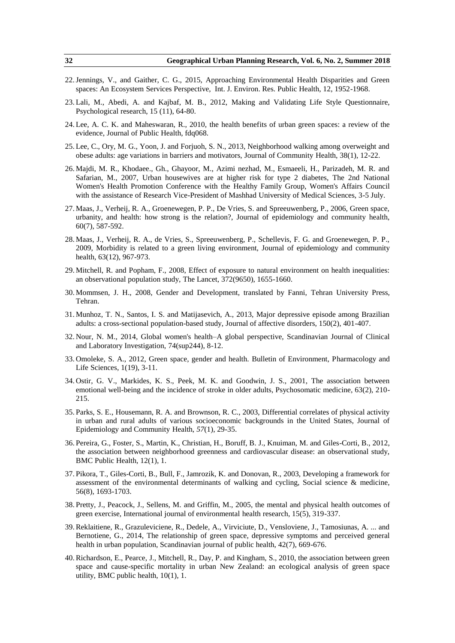- 22.Jennings, V., and Gaither, C. G., 2015, Approaching Environmental Health Disparities and Green spaces: An Ecosystem Services Perspective, Int. J. Environ. Res. Public Health, 12, 1952-1968.
- 23. Lali, M., Abedi, A. and Kajbaf, M. B., 2012, Making and Validating Life Style Questionnaire, Psychological research, 15 (11), 64-80.
- 24. Lee, A. C. K. and Maheswaran, R., 2010, the health benefits of urban green spaces: a review of the evidence, Journal of Public Health, fdq068.
- 25. Lee, C., Ory, M. G., Yoon, J. and Forjuoh, S. N., 2013, Neighborhood walking among overweight and obese adults: age variations in barriers and motivators, Journal of Community Health, 38(1), 12-22.
- 26. Majdi, M. R., Khodaee., Gh., Ghayoor, M., Azimi nezhad, M., Esmaeeli, H., Parizadeh, M. R. and Safarian, M., 2007, Urban housewives are at higher risk for type 2 diabetes, The 2nd National Women's Health Promotion Conference with the Healthy Family Group, Women's Affairs Council with the assistance of Research Vice-President of Mashhad University of Medical Sciences, 3-5 July.
- 27. Maas, J., Verheij, R. A., Groenewegen, P. P., De Vries, S. and Spreeuwenberg, P., 2006, Green space, urbanity, and health: how strong is the relation?, Journal of epidemiology and community health, 60(7), 587-592.
- 28. Maas, J., Verheij, R. A., de Vries, S., Spreeuwenberg, P., Schellevis, F. G. and Groenewegen, P. P., 2009, Morbidity is related to a green living environment, Journal of epidemiology and community health, 63(12), 967-973.
- 29. Mitchell, R. and Popham, F., 2008, Effect of exposure to natural environment on health inequalities: an observational population study, The Lancet, 372(9650), 1655-1660.
- 30. Mommsen, J. H., 2008, Gender and Development, translated by Fanni, Tehran University Press, Tehran.
- 31. Munhoz, T. N., Santos, I. S. and Matijasevich, A., 2013, Major depressive episode among Brazilian adults: a cross-sectional population-based study, Journal of affective disorders, 150(2), 401-407.
- 32. Nour, N. M., 2014, Global women's health–A global perspective, Scandinavian Journal of Clinical and Laboratory Investigation, 74(sup244), 8-12.
- 33. Omoleke, S. A., 2012, Green space, gender and health. Bulletin of Environment, Pharmacology and Life Sciences, 1(19), 3-11.
- 34. Ostir, G. V., Markides, K. S., Peek, M. K. and Goodwin, J. S., 2001, The association between emotional well-being and the incidence of stroke in older adults, Psychosomatic medicine, 63(2), 210- 215.
- 35. Parks, S. E., Housemann, R. A. and Brownson, R. C., 2003, Differential correlates of physical activity in urban and rural adults of various socioeconomic backgrounds in the United States, Journal of Epidemiology and Community Health, *57*(1), 29-35.
- 36. Pereira, G., Foster, S., Martin, K., Christian, H., Boruff, B. J., Knuiman, M. and Giles-Corti, B., 2012, the association between neighborhood greenness and cardiovascular disease: an observational study, BMC Public Health, 12(1), 1.
- 37. Pikora, T., Giles-Corti, B., Bull, F., Jamrozik, K. and Donovan, R., 2003, Developing a framework for assessment of the environmental determinants of walking and cycling, Social science & medicine, 56(8), 1693-1703.
- 38. Pretty, J., Peacock, J., Sellens, M. and Griffin, M., 2005, the mental and physical health outcomes of green exercise, International journal of environmental health research, 15(5), 319-337.
- 39.Reklaitiene, R., Grazuleviciene, R., Dedele, A., Virviciute, D., Vensloviene, J., Tamosiunas, A. ... and Bernotiene, G., 2014, The relationship of green space, depressive symptoms and perceived general health in urban population, Scandinavian journal of public health, 42(7), 669-676.
- 40.Richardson, E., Pearce, J., Mitchell, R., Day, P. and Kingham, S., 2010, the association between green space and cause-specific mortality in urban New Zealand: an ecological analysis of green space utility, BMC public health, 10(1), 1.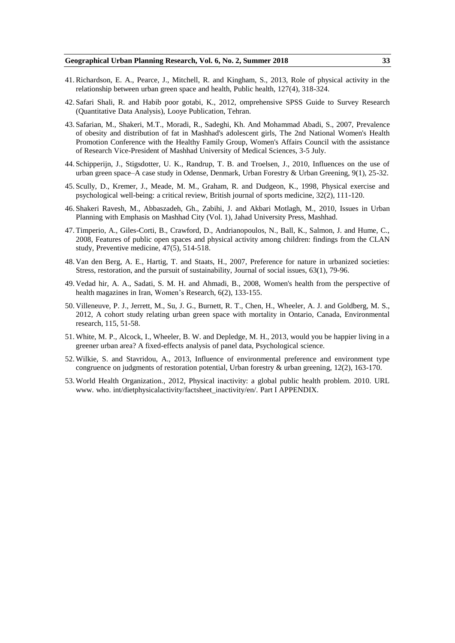- 41.Richardson, E. A., Pearce, J., Mitchell, R. and Kingham, S., 2013, Role of physical activity in the relationship between urban green space and health, Public health, 127(4), 318-324.
- 42. Safari Shali, R. and Habib poor gotabi, K., 2012, omprehensive SPSS Guide to Survey Research (Quantitative Data Analysis), Looye Publication, Tehran.
- 43. Safarian, M., Shakeri, M.T., Moradi, R., Sadeghi, Kh. And Mohammad Abadi, S., 2007, Prevalence of obesity and distribution of fat in Mashhad's adolescent girls, The 2nd National Women's Health Promotion Conference with the Healthy Family Group, Women's Affairs Council with the assistance of Research Vice-President of Mashhad University of Medical Sciences, 3-5 July.
- 44. Schipperijn, J., Stigsdotter, U. K., Randrup, T. B. and Troelsen, J., 2010, Influences on the use of urban green space–A case study in Odense, Denmark, Urban Forestry & Urban Greening, 9(1), 25-32.
- 45. Scully, D., Kremer, J., Meade, M. M., Graham, R. and Dudgeon, K., 1998, Physical exercise and psychological well-being: a critical review, British journal of sports medicine, 32(2), 111-120.
- 46. Shakeri Ravesh, M., Abbaszadeh, Gh., Zabihi, J. and Akbari Motlagh, M., 2010, Issues in Urban Planning with Emphasis on Mashhad City (Vol. 1), Jahad University Press, Mashhad.
- 47. Timperio, A., Giles-Corti, B., Crawford, D., Andrianopoulos, N., Ball, K., Salmon, J. and Hume, C., 2008, Features of public open spaces and physical activity among children: findings from the CLAN study, Preventive medicine, 47(5), 514-518.
- 48. Van den Berg, A. E., Hartig, T. and Staats, H., 2007, Preference for nature in urbanized societies: Stress, restoration, and the pursuit of sustainability, Journal of social issues, 63(1), 79-96.
- 49. Vedad hir, A. A., Sadati, S. M. H. and Ahmadi, B., 2008, Women's health from the perspective of health magazines in Iran, Women's Research, 6(2), 133-155.
- 50. Villeneuve, P. J., Jerrett, M., Su, J. G., Burnett, R. T., Chen, H., Wheeler, A. J. and Goldberg, M. S., 2012, A cohort study relating urban green space with mortality in Ontario, Canada, Environmental research, 115, 51-58.
- 51. White, M. P., Alcock, I., Wheeler, B. W. and Depledge, M. H., 2013, would you be happier living in a greener urban area? A fixed-effects analysis of panel data, Psychological science.
- 52. Wilkie, S. and Stavridou, A., 2013, Influence of environmental preference and environment type congruence on judgments of restoration potential, Urban forestry & urban greening, 12(2), 163-170.
- 53. World Health Organization., 2012, Physical inactivity: a global public health problem. 2010. URL www. who. int/dietphysicalactivity/factsheet\_inactivity/en/. Part I APPENDIX.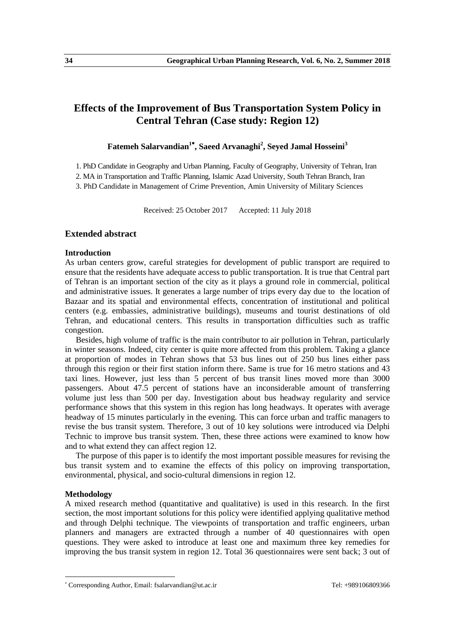# **Effects of the Improvement of Bus Transportation System Policy in Central Tehran (Case study: Region 12)**

# **Fatemeh Salarvandian<sup>1</sup> , Saeed Arvanaghi<sup>2</sup> , Seyed Jamal Hosseini<sup>3</sup>**

1. PhD Candidate in Geography and Urban Planning, Faculty of Geography, University of Tehran, Iran

2. MA in Transportation and Traffic Planning, Islamic Azad University, South Tehran Branch, Iran

3. PhD Candidate in Management of Crime Prevention, Amin University of Military Sciences

Received: 25 October 2017 Accepted: 11 July 2018

# **Extended abstract**

# **Introduction**

As urban centers grow, careful strategies for development of public transport are required to ensure that the residents have adequate access to public transportation. It is true that Central part of Tehran is an important section of the city as it plays a ground role in commercial, political and administrative issues. It generates a large number of trips every day due to the location of Bazaar and its spatial and environmental effects, concentration of institutional and political centers (e.g. embassies, administrative buildings), museums and tourist destinations of old Tehran, and educational centers. This results in transportation difficulties such as traffic congestion.

Besides, high volume of traffic is the main contributor to air pollution in Tehran, particularly in winter seasons. Indeed, city center is quite more affected from this problem. Taking a glance at proportion of modes in Tehran shows that 53 bus lines out of 250 bus lines either pass through this region or their first station inform there. Same is true for 16 metro stations and 43 taxi lines. However, just less than 5 percent of bus transit lines moved more than 3000 passengers. About 47.5 percent of stations have an inconsiderable amount of transferring volume just less than 500 per day. Investigation about bus headway regularity and service performance shows that this system in this region has long headways. It operates with average headway of 15 minutes particularly in the evening. This can force urban and traffic managers to revise the bus transit system. Therefore, 3 out of 10 key solutions were introduced via Delphi Technic to improve bus transit system. Then, these three actions were examined to know how and to what extend they can affect region 12.

The purpose of this paper is to identify the most important possible measures for revising the bus transit system and to examine the effects of this policy on improving transportation, environmental, physical, and socio-cultural dimensions in region 12.

#### **Methodology**

**.** 

A mixed research method (quantitative and qualitative) is used in this research. In the first section, the most important solutions for this policy were identified applying qualitative method and through Delphi technique. The viewpoints of transportation and traffic engineers, urban planners and managers are extracted through a number of 40 questionnaires with open questions. They were asked to introduce at least one and maximum three key remedies for improving the bus transit system in region 12. Total 36 questionnaires were sent back; 3 out of

Corresponding Author, Email: fsalarvandian@ut.ac.ir Tel: +989106809366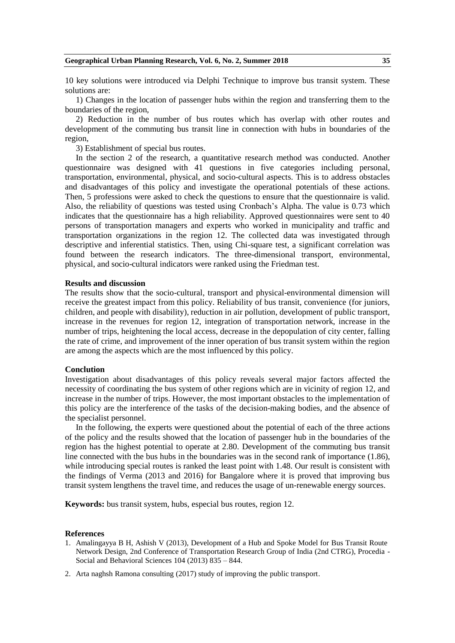10 key solutions were introduced via Delphi Technique to improve bus transit system. These solutions are:

1) Changes in the location of passenger hubs within the region and transferring them to the boundaries of the region,

2) Reduction in the number of bus routes which has overlap with other routes and development of the commuting bus transit line in connection with hubs in boundaries of the region,

3) Establishment of special bus routes.

In the section 2 of the research, a quantitative research method was conducted. Another questionnaire was designed with 41 questions in five categories including personal, transportation, environmental, physical, and socio-cultural aspects. This is to address obstacles and disadvantages of this policy and investigate the operational potentials of these actions. Then, 5 professions were asked to check the questions to ensure that the questionnaire is valid. Also, the reliability of questions was tested using Cronbach's Alpha. The value is 0.73 which indicates that the questionnaire has a high reliability. Approved questionnaires were sent to 40 persons of transportation managers and experts who worked in municipality and traffic and transportation organizations in the region 12. The collected data was investigated through descriptive and inferential statistics. Then, using Chi-square test, a significant correlation was found between the research indicators. The three-dimensional transport, environmental, physical, and socio-cultural indicators were ranked using the Friedman test.

### **Results and discussion**

The results show that the socio-cultural, transport and physical-environmental dimension will receive the greatest impact from this policy. Reliability of bus transit, convenience (for juniors, children, and people with disability), reduction in air pollution, development of public transport, increase in the revenues for region 12, integration of transportation network, increase in the number of trips, heightening the local access, decrease in the depopulation of city center, falling the rate of crime, and improvement of the inner operation of bus transit system within the region are among the aspects which are the most influenced by this policy.

#### **Conclution**

Investigation about disadvantages of this policy reveals several major factors affected the necessity of coordinating the bus system of other regions which are in vicinity of region 12, and increase in the number of trips. However, the most important obstacles to the implementation of this policy are the interference of the tasks of the decision-making bodies, and the absence of the specialist personnel.

In the following, the experts were questioned about the potential of each of the three actions of the policy and the results showed that the location of passenger hub in the boundaries of the region has the highest potential to operate at 2.80. Development of the commuting bus transit line connected with the bus hubs in the boundaries was in the second rank of importance (1.86), while introducing special routes is ranked the least point with 1.48. Our result is consistent with the findings of Verma (2013 and 2016) for Bangalore where it is proved that improving bus transit system lengthens the travel time, and reduces the usage of un-renewable energy sources.

**Keywords:** bus transit system, hubs, especial bus routes, region 12.

- 1. Amalingayya B H, Ashish V (2013), Development of a Hub and Spoke Model for Bus Transit Route Network Design, 2nd Conference of Transportation Research Group of India (2nd CTRG), Procedia - Social and Behavioral Sciences 104 (2013) 835 – 844.
- 2. Arta naghsh Ramona consulting (2017) study of improving the public transport.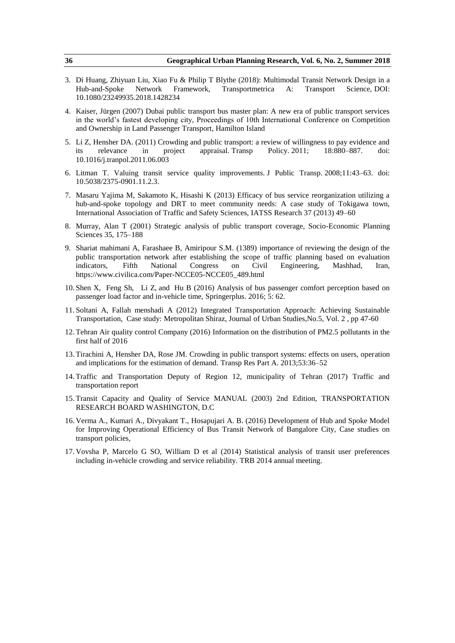- 3. Di Huang, Zhiyuan Liu, Xiao Fu & Philip T Blythe (2018): Multimodal Transit Network Design in a Hub-and-Spoke Network Framework, Transportmetrica A: Transport Science, DOI: 10.1080/23249935.2018.1428234
- 4. Kaiser, Jürgen (2007) Dubai public transport bus master plan: A new era of public transport services in the world's fastest developing city, Proceedings of 10th International Conference on Competition and Ownership in Land Passenger Transport, Hamilton Island
- 5. Li Z, Hensher DA. (2011) Crowding and public transport: a review of willingness to pay evidence and its relevance in project appraisal. Transp Policy. 2011; 18:880–887. doi: 10.1016/j.tranpol.2011.06.003
- 6. Litman T. Valuing transit service quality improvements. J Public Transp. 2008;11:43–63. doi: 10.5038/2375-0901.11.2.3.
- 7. Masaru Yajima M, Sakamoto K, Hisashi K (2013) Efficacy of bus service reorganization utilizing a hub-and-spoke topology and DRT to meet community needs: A case study of Tokigawa town, International Association of Traffic and Safety Sciences, IATSS Research 37 (2013) 49–60
- 8. Murray, Alan T (2001) Strategic analysis of public transport coverage, Socio-Economic Planning Sciences 35, 175–188
- 9. Shariat mahimani A, Farashaee B, Amiripour S.M. (1389) importance of reviewing the design of the public transportation network after establishing the scope of traffic planning based on evaluation indicators, Fifth National Congress on Civil Engineering, Mashhad, Iran, https://www.civilica.com/Paper-NCCE05-NCCE05\_489.html
- 10. Shen X, Feng Sh, Li Z, and Hu B (2016) Analysis of bus passenger comfort perception based on passenger load factor and in-vehicle time, Springerplus. 2016; 5: 62.
- 11. Soltani A, Fallah menshadi A (2012) Integrated Transportation Approach: Achieving Sustainable Transportation, Case study: Metropolitan Shiraz, Journal of Urban Studies,No.5, Vol. 2 , pp 47-60
- 12. Tehran Air quality control Company (2016) Information on the distribution of PM2.5 pollutants in the first half of 2016
- 13. Tirachini A, Hensher DA, Rose JM. Crowding in public transport systems: effects on users, operation and implications for the estimation of demand. Transp Res Part A. 2013;53:36–52
- 14. Traffic and Transportation Deputy of Region 12, municipality of Tehran (2017) Traffic and transportation report
- 15. Transit Capacity and Quality of Service MANUAL (2003) 2nd Edition, TRANSPORTATION RESEARCH BOARD WASHINGTON, D.C
- 16. Verma A., Kumari A., Divyakant T., Hosapujari A. B. (2016) Development of Hub and Spoke Model for Improving Operational Efficiency of Bus Transit Network of Bangalore City, Case studies on transport policies,
- 17. Vovsha P, Marcelo G SO, William D et al (2014) Statistical analysis of transit user preferences including in-vehicle crowding and service reliability. TRB 2014 annual meeting.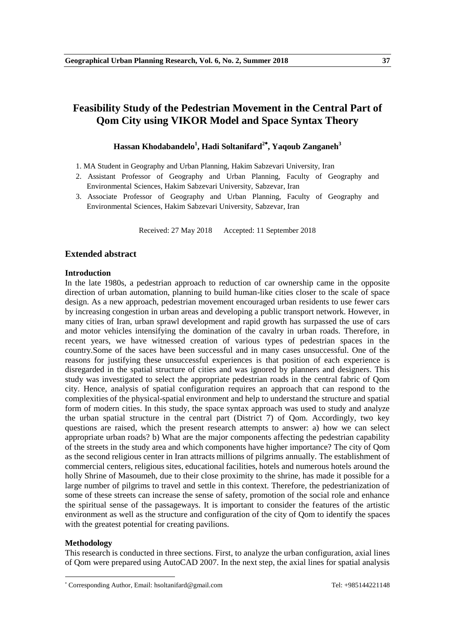# **Feasibility Study of the Pedestrian Movement in the Central Part of Qom City using VIKOR Model and Space Syntax Theory**

# **Hassan Khodabandelo<sup>1</sup> , Hadi Soltanifard<sup>2</sup> , Yaqoub Zanganeh<sup>3</sup>**

1. MA Student in Geography and Urban Planning, Hakim Sabzevari University, Iran

- 2. Assistant Professor of Geography and Urban Planning, Faculty of Geography and Environmental Sciences, Hakim Sabzevari University, Sabzevar, Iran
- 3. Associate Professor of Geography and Urban Planning, Faculty of Geography and Environmental Sciences, Hakim Sabzevari University, Sabzevar, Iran

Received: 27 May 2018 Accepted: 11 September 2018

# **Extended abstract**

#### **Introduction**

In the late 1980s, a pedestrian approach to reduction of car ownership came in the opposite direction of urban automation, planning to build human-like cities closer to the scale of space design. As a new approach, pedestrian movement encouraged urban residents to use fewer cars by increasing congestion in urban areas and developing a public transport network. However, in many cities of Iran, urban sprawl development and rapid growth has surpassed the use of cars and motor vehicles intensifying the domination of the cavalry in urban roads. Therefore, in recent years, we have witnessed creation of various types of pedestrian spaces in the country.Some of the saces have been successful and in many cases unsuccessful. One of the reasons for justifying these unsuccessful experiences is that position of each experience is disregarded in the spatial structure of cities and was ignored by planners and designers. This study was investigated to select the appropriate pedestrian roads in the central fabric of Qom city. Hence, analysis of spatial configuration requires an approach that can respond to the complexities of the physical-spatial environment and help to understand the structure and spatial form of modern cities. In this study, the space syntax approach was used to study and analyze the urban spatial structure in the central part (District 7) of Qom. Accordingly, two key questions are raised, which the present research attempts to answer: a) how we can select appropriate urban roads? b) What are the major components affecting the pedestrian capability of the streets in the study area and which components have higher importance? The city of Qom as the second religious center in Iran attracts millions of pilgrims annually. The establishment of commercial centers, religious sites, educational facilities, hotels and numerous hotels around the holly Shrine of Masoumeh, due to their close proximity to the shrine, has made it possible for a large number of pilgrims to travel and settle in this context. Therefore, the pedestrianization of some of these streets can increase the sense of safety, promotion of the social role and enhance the spiritual sense of the passageways. It is important to consider the features of the artistic environment as well as the structure and configuration of the city of Qom to identify the spaces with the greatest potential for creating pavilions.

#### **Methodology**

**.** 

This research is conducted in three sections. First, to analyze the urban configuration, axial lines of Qom were prepared using AutoCAD 2007. In the next step, the axial lines for spatial analysis

Corresponding Author, Email: hsoltanifard@gmail.com Tel: +985144221148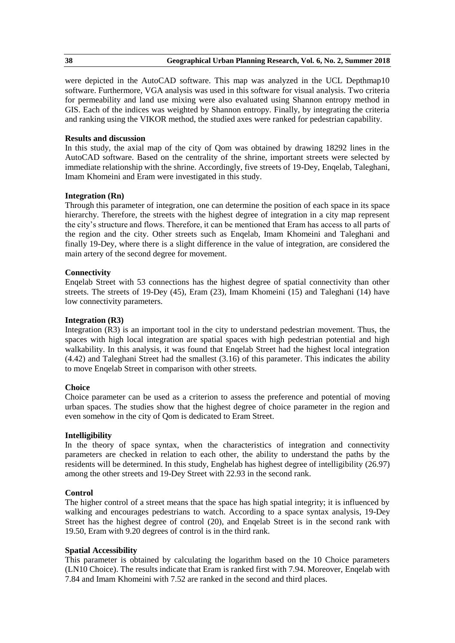were depicted in the AutoCAD software. This map was analyzed in the UCL Depthmap10 software. Furthermore, VGA analysis was used in this software for visual analysis. Two criteria for permeability and land use mixing were also evaluated using Shannon entropy method in GIS. Each of the indices was weighted by Shannon entropy. Finally, by integrating the criteria and ranking using the VIKOR method, the studied axes were ranked for pedestrian capability.

# **Results and discussion**

In this study, the axial map of the city of Qom was obtained by drawing 18292 lines in the AutoCAD software. Based on the centrality of the shrine, important streets were selected by immediate relationship with the shrine. Accordingly, five streets of 19-Dey, Enqelab, Taleghani, Imam Khomeini and Eram were investigated in this study.

# **Integration (Rn)**

Through this parameter of integration, one can determine the position of each space in its space hierarchy. Therefore, the streets with the highest degree of integration in a city map represent the city's structure and flows. Therefore, it can be mentioned that Eram has access to all parts of the region and the city. Other streets such as Enqelab, Imam Khomeini and Taleghani and finally 19-Dey, where there is a slight difference in the value of integration, are considered the main artery of the second degree for movement.

# **Connectivity**

Enqelab Street with 53 connections has the highest degree of spatial connectivity than other streets. The streets of 19-Dey (45), Eram (23), Imam Khomeini (15) and Taleghani (14) have low connectivity parameters.

# **Integration (R3)**

Integration (R3) is an important tool in the city to understand pedestrian movement. Thus, the spaces with high local integration are spatial spaces with high pedestrian potential and high walkability. In this analysis, it was found that Enqelab Street had the highest local integration (4.42) and Taleghani Street had the smallest (3.16) of this parameter. This indicates the ability to move Enqelab Street in comparison with other streets.

# **Choice**

Choice parameter can be used as a criterion to assess the preference and potential of moving urban spaces. The studies show that the highest degree of choice parameter in the region and even somehow in the city of Qom is dedicated to Eram Street.

# **Intelligibility**

In the theory of space syntax, when the characteristics of integration and connectivity parameters are checked in relation to each other, the ability to understand the paths by the residents will be determined. In this study, Enghelab has highest degree of intelligibility (26.97) among the other streets and 19-Dey Street with 22.93 in the second rank.

# **Control**

The higher control of a street means that the space has high spatial integrity; it is influenced by walking and encourages pedestrians to watch. According to a space syntax analysis, 19-Dey Street has the highest degree of control (20), and Enqelab Street is in the second rank with 19.50, Eram with 9.20 degrees of control is in the third rank.

# **Spatial Accessibility**

This parameter is obtained by calculating the logarithm based on the 10 Choice parameters (LN10 Choice). The results indicate that Eram is ranked first with 7.94. Moreover, Enqelab with 7.84 and Imam Khomeini with 7.52 are ranked in the second and third places.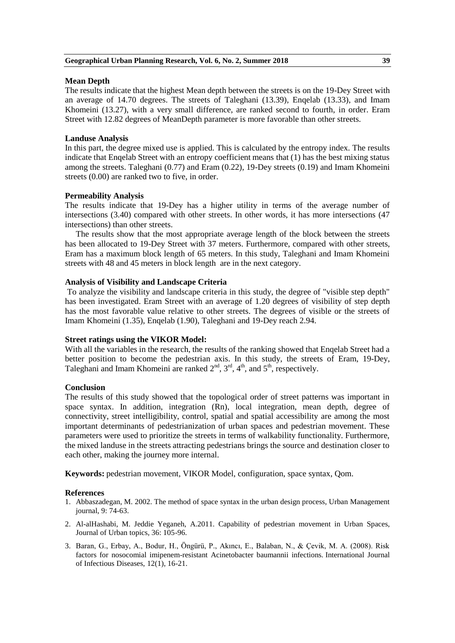# **Mean Depth**

The results indicate that the highest Mean depth between the streets is on the 19-Dey Street with an average of 14.70 degrees. The streets of Taleghani (13.39), Enqelab (13.33), and Imam Khomeini (13.27), with a very small difference, are ranked second to fourth, in order. Eram Street with 12.82 degrees of MeanDepth parameter is more favorable than other streets.

# **Landuse Analysis**

In this part, the degree mixed use is applied. This is calculated by the entropy index. The results indicate that Enqelab Street with an entropy coefficient means that (1) has the best mixing status among the streets. Taleghani (0.77) and Eram (0.22), 19-Dey streets (0.19) and Imam Khomeini streets (0.00) are ranked two to five, in order.

# **Permeability Analysis**

The results indicate that 19-Dey has a higher utility in terms of the average number of intersections (3.40) compared with other streets. In other words, it has more intersections (47 intersections) than other streets.

The results show that the most appropriate average length of the block between the streets has been allocated to 19-Dey Street with 37 meters. Furthermore, compared with other streets, Eram has a maximum block length of 65 meters. In this study, Taleghani and Imam Khomeini streets with 48 and 45 meters in block length are in the next category.

# **Analysis of Visibility and Landscape Criteria**

To analyze the visibility and landscape criteria in this study, the degree of "visible step depth" has been investigated. Eram Street with an average of 1.20 degrees of visibility of step depth has the most favorable value relative to other streets. The degrees of visible or the streets of Imam Khomeini (1.35), Enqelab (1.90), Taleghani and 19-Dey reach 2.94.

# **Street ratings using the VIKOR Model:**

With all the variables in the research, the results of the ranking showed that Engelab Street had a better position to become the pedestrian axis. In this study, the streets of Eram, 19-Dey, Taleghani and Imam Khomeini are ranked  $2<sup>nd</sup>$ ,  $3<sup>rd</sup>$ ,  $4<sup>th</sup>$ , and  $5<sup>th</sup>$ , respectively.

# **Conclusion**

The results of this study showed that the topological order of street patterns was important in space syntax. In addition, integration (Rn), local integration, mean depth, degree of connectivity, street intelligibility, control, spatial and spatial accessibility are among the most important determinants of pedestrianization of urban spaces and pedestrian movement. These parameters were used to prioritize the streets in terms of walkability functionality. Furthermore, the mixed landuse in the streets attracting pedestrians brings the source and destination closer to each other, making the journey more internal.

**Keywords:** pedestrian movement, VIKOR Model, configuration, space syntax, Qom.

- 1. Abbaszadegan, M. 2002. The method of space syntax in the urban design process, Urban Management journal, 9: 74-63.
- 2. Al-alHashabi, M. Jeddie Yeganeh, A.2011. Capability of pedestrian movement in Urban Spaces, Journal of Urban topics, 36: 105-96.
- 3. Baran, G., Erbay, A., Bodur, H., Öngürü, P., Akıncı, E., Balaban, N., & Çevik, M. A. (2008). Risk factors for nosocomial imipenem-resistant Acinetobacter baumannii infections. International Journal of Infectious Diseases, 12(1), 16-21.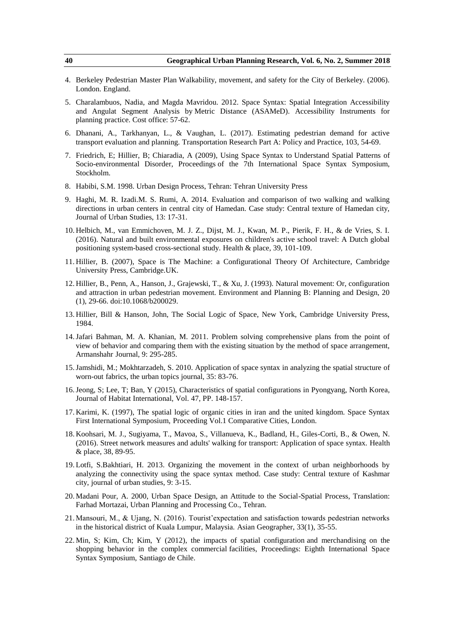- 4. Berkeley Pedestrian Master Plan Walkability, movement, and safety for the City of Berkeley. (2006). London. England.
- 5. Charalambuos, Nadia, and Magda Mavridou. 2012. Space Syntax: Spatial Integration Accessibility and Angulat Segment Analysis by Metric Distance (ASAMeD). Accessibility Instruments for planning practice. Cost office: 57-62.
- 6. Dhanani, A., Tarkhanyan, L., & Vaughan, L. (2017). Estimating pedestrian demand for active transport evaluation and planning. Transportation Research Part A: Policy and Practice, 103, 54-69.
- 7. Friedrich, E; Hillier, B; Chiaradia, A (2009), Using Space Syntax to Understand Spatial Patterns of Socio-environmental Disorder, Proceedings of the 7th International Space Syntax Symposium, Stockholm.
- 8. Habibi, S.M. 1998. Urban Design Process, Tehran: Tehran University Press
- 9. Haghi, M. R. Izadi.M. S. Rumi, A. 2014. Evaluation and comparison of two walking and walking directions in urban centers in central city of Hamedan. Case study: Central texture of Hamedan city, Journal of Urban Studies, 13: 17-31.
- 10. Helbich, M., van Emmichoven, M. J. Z., Dijst, M. J., Kwan, M. P., Pierik, F. H., & de Vries, S. I. (2016). Natural and built environmental exposures on children's active school travel: A Dutch global positioning system-based cross-sectional study. Health & place, 39, 101-109.
- 11. Hillier, B. (2007), Space is The Machine: a Configurational Theory Of Architecture, Cambridge University Press, Cambridge.UK.
- 12. Hillier, B., Penn, A., Hanson, J., Grajewski, T., & Xu, J. (1993). Natural movement: Or, configuration and attraction in urban pedestrian movement. Environment and Planning B: Planning and Design, 20 (1), 29-66. doi:10.1068/b200029.
- 13. Hillier, Bill & Hanson, John, The Social Logic of Space, New York, Cambridge University Press, 1984.
- 14.Jafari Bahman, M. A. Khanian, M. 2011. Problem solving comprehensive plans from the point of view of behavior and comparing them with the existing situation by the method of space arrangement, Armanshahr Journal, 9: 295-285.
- 15.Jamshidi, M.; Mokhtarzadeh, S. 2010. Application of space syntax in analyzing the spatial structure of worn-out fabrics, the urban topics journal, 35: 83-76.
- 16.Jeong, S; Lee, T; Ban, Y (2015), Characteristics of spatial configurations in Pyongyang, North Korea, Journal of Habitat International, Vol. 47, PP. 148-157.
- 17. Karimi, K. (1997), The spatial logic of organic cities in iran and the united kingdom. Space Syntax First International Symposium, Proceeding Vol.1 Comparative Cities, London.
- 18. Koohsari, M. J., Sugiyama, T., Mavoa, S., Villanueva, K., Badland, H., Giles-Corti, B., & Owen, N. (2016). Street network measures and adults' walking for transport: Application of space syntax. Health & place, 38, 89-95.
- 19. Lotfi, S.Bakhtiari, H. 2013. Organizing the movement in the context of urban neighborhoods by analyzing the connectivity using the space syntax method. Case study: Central texture of Kashmar city, journal of urban studies, 9: 3-15.
- 20. Madani Pour, A. 2000, Urban Space Design, an Attitude to the Social-Spatial Process, Translation: Farhad Mortazai, Urban Planning and Processing Co., Tehran.
- 21. Mansouri, M., & Ujang, N. (2016). Tourist'expectation and satisfaction towards pedestrian networks in the historical district of Kuala Lumpur, Malaysia. Asian Geographer, 33(1), 35-55.
- 22. Min, S; Kim, Ch; Kim, Y (2012), the impacts of spatial configuration and merchandising on the shopping behavior in the complex commercial facilities, Proceedings: Eighth International Space Syntax Symposium, Santiago de Chile.